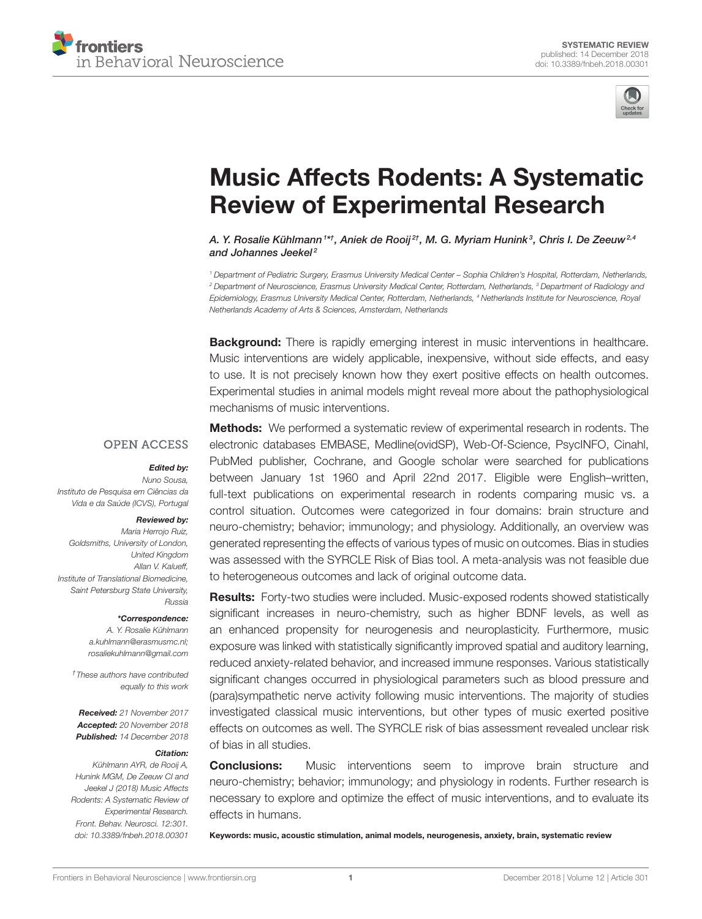



# [Music Affects Rodents: A Systematic](https://www.frontiersin.org/articles/10.3389/fnbeh.2018.00301/full) Review of Experimental Research

[A. Y. Rosalie Kühlmann](http://loop.frontiersin.org/people/498498/overview) 1\*†, Aniek de Rooij<sup>2†</sup>, M. G. Myriam Hunink<sup>3</sup>, [Chris I. De Zeeuw](http://loop.frontiersin.org/people/2847/overview)<sup>2,4</sup> and Johannes Jeekel<sup>2</sup>

<sup>1</sup> Department of Pediatric Surgery, Erasmus University Medical Center – Sophia Children's Hospital, Rotterdam, Netherlands, <sup>2</sup> Department of Neuroscience, Erasmus University Medical Center, Rotterdam, Netherlands, <sup>3</sup> Department of Radiology and Epidemiology, Erasmus University Medical Center, Rotterdam, Netherlands, <sup>4</sup> Netherlands Institute for Neuroscience, Royal Netherlands Academy of Arts & Sciences, Amsterdam, Netherlands

**Background:** There is rapidly emerging interest in music interventions in healthcare. Music interventions are widely applicable, inexpensive, without side effects, and easy to use. It is not precisely known how they exert positive effects on health outcomes. Experimental studies in animal models might reveal more about the pathophysiological mechanisms of music interventions.

#### **OPEN ACCESS**

#### Edited by:

Nuno Sousa, Instituto de Pesquisa em Ciências da Vida e da Saúde (ICVS), Portugal

#### Reviewed by:

Maria Herrojo Ruiz, Goldsmiths, University of London, United Kingdom Allan V. Kalueff, Institute of Translational Biomedicine, Saint Petersburg State University, Russia

#### \*Correspondence:

A. Y. Rosalie Kühlmann [a.kuhlmann@erasmusmc.nl;](mailto:a.kuhlmann@erasmusmc.nl) [rosaliekuhlmann@gmail.com](mailto:rosaliekuhlmann@gmail.com)

†These authors have contributed equally to this work

Received: 21 November 2017 Accepted: 20 November 2018 Published: 14 December 2018

#### Citation:

Kühlmann AYR, de Rooij A, Hunink MGM, De Zeeuw CI and Jeekel J (2018) Music Affects Rodents: A Systematic Review of Experimental Research. Front. Behav. Neurosci. 12:301. doi: [10.3389/fnbeh.2018.00301](https://doi.org/10.3389/fnbeh.2018.00301)

Methods: We performed a systematic review of experimental research in rodents. The electronic databases EMBASE, Medline(ovidSP), Web-Of-Science, PsycINFO, Cinahl, PubMed publisher, Cochrane, and Google scholar were searched for publications between January 1st 1960 and April 22nd 2017. Eligible were English–written, full-text publications on experimental research in rodents comparing music vs. a control situation. Outcomes were categorized in four domains: brain structure and neuro-chemistry; behavior; immunology; and physiology. Additionally, an overview was generated representing the effects of various types of music on outcomes. Bias in studies was assessed with the SYRCLE Risk of Bias tool. A meta-analysis was not feasible due to heterogeneous outcomes and lack of original outcome data.

Results: Forty-two studies were included. Music-exposed rodents showed statistically significant increases in neuro-chemistry, such as higher BDNF levels, as well as an enhanced propensity for neurogenesis and neuroplasticity. Furthermore, music exposure was linked with statistically significantly improved spatial and auditory learning, reduced anxiety-related behavior, and increased immune responses. Various statistically significant changes occurred in physiological parameters such as blood pressure and (para)sympathetic nerve activity following music interventions. The majority of studies investigated classical music interventions, but other types of music exerted positive effects on outcomes as well. The SYRCLE risk of bias assessment revealed unclear risk of bias in all studies.

**Conclusions:** Music interventions seem to improve brain structure and neuro-chemistry; behavior; immunology; and physiology in rodents. Further research is necessary to explore and optimize the effect of music interventions, and to evaluate its effects in humans.

Keywords: music, acoustic stimulation, animal models, neurogenesis, anxiety, brain, systematic review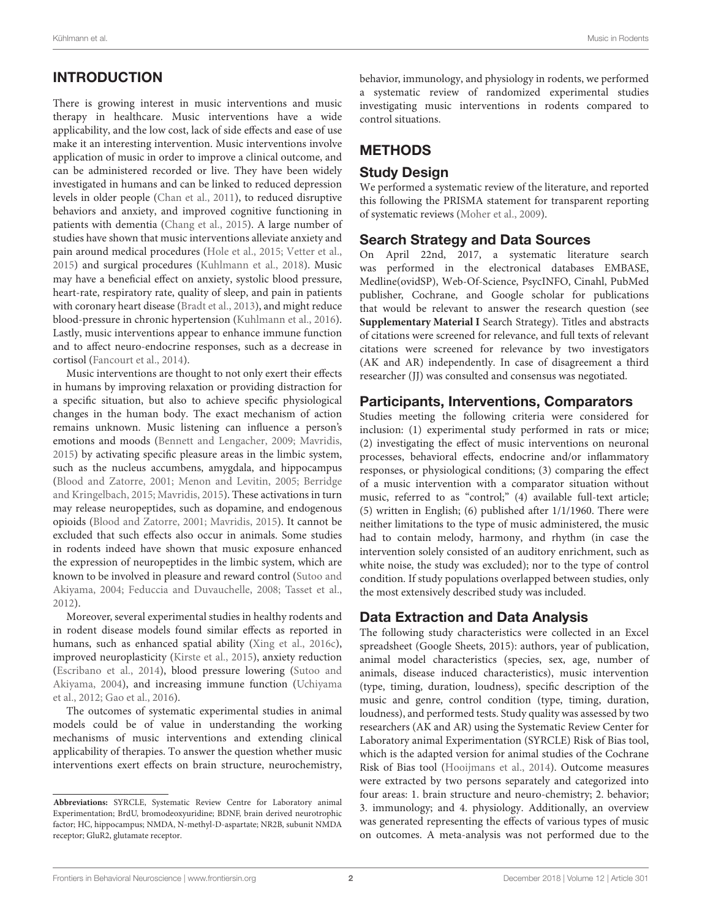# INTRODUCTION

There is growing interest in music interventions and music therapy in healthcare. Music interventions have a wide applicability, and the low cost, lack of side effects and ease of use make it an interesting intervention. Music interventions involve application of music in order to improve a clinical outcome, and can be administered recorded or live. They have been widely investigated in humans and can be linked to reduced depression levels in older people [\(Chan et al., 2011\)](#page-16-0), to reduced disruptive behaviors and anxiety, and improved cognitive functioning in patients with dementia [\(Chang et al., 2015\)](#page-16-1). A large number of studies have shown that music interventions alleviate anxiety and pain around medical procedures [\(Hole et al., 2015;](#page-16-2) [Vetter et al.,](#page-17-0) [2015\)](#page-17-0) and surgical procedures [\(Kuhlmann et al., 2018\)](#page-17-1). Music may have a beneficial effect on anxiety, systolic blood pressure, heart-rate, respiratory rate, quality of sleep, and pain in patients with coronary heart disease [\(Bradt et al., 2013\)](#page-16-3), and might reduce blood-pressure in chronic hypertension [\(Kuhlmann et al., 2016\)](#page-17-2). Lastly, music interventions appear to enhance immune function and to affect neuro-endocrine responses, such as a decrease in cortisol [\(Fancourt et al., 2014\)](#page-16-4).

Music interventions are thought to not only exert their effects in humans by improving relaxation or providing distraction for a specific situation, but also to achieve specific physiological changes in the human body. The exact mechanism of action remains unknown. Music listening can influence a person's emotions and moods [\(Bennett and Lengacher, 2009;](#page-16-5) [Mavridis,](#page-17-3) [2015\)](#page-17-3) by activating specific pleasure areas in the limbic system, such as the nucleus accumbens, amygdala, and hippocampus [\(Blood and Zatorre, 2001;](#page-16-6) [Menon and Levitin, 2005;](#page-17-4) Berridge and Kringelbach, [2015;](#page-16-7) [Mavridis, 2015\)](#page-17-3). These activations in turn may release neuropeptides, such as dopamine, and endogenous opioids [\(Blood and Zatorre, 2001;](#page-16-6) [Mavridis, 2015\)](#page-17-3). It cannot be excluded that such effects also occur in animals. Some studies in rodents indeed have shown that music exposure enhanced the expression of neuropeptides in the limbic system, which are known to be involved in pleasure and reward control (Sutoo and Akiyama, [2004;](#page-17-5) [Feduccia and Duvauchelle, 2008;](#page-16-8) [Tasset et al.,](#page-17-6) [2012\)](#page-17-6).

Moreover, several experimental studies in healthy rodents and in rodent disease models found similar effects as reported in humans, such as enhanced spatial ability [\(Xing et al., 2016c\)](#page-17-7), improved neuroplasticity [\(Kirste et al., 2015\)](#page-17-8), anxiety reduction [\(Escribano et al., 2014\)](#page-16-9), blood pressure lowering (Sutoo and Akiyama, [2004\)](#page-17-5), and increasing immune function (Uchiyama et al., [2012;](#page-17-9) [Gao et al., 2016\)](#page-16-10).

The outcomes of systematic experimental studies in animal models could be of value in understanding the working mechanisms of music interventions and extending clinical applicability of therapies. To answer the question whether music interventions exert effects on brain structure, neurochemistry, behavior, immunology, and physiology in rodents, we performed a systematic review of randomized experimental studies investigating music interventions in rodents compared to control situations.

# **METHODS**

### Study Design

We performed a systematic review of the literature, and reported this following the PRISMA statement for transparent reporting of systematic reviews [\(Moher et al., 2009\)](#page-17-10).

# Search Strategy and Data Sources

On April 22nd, 2017, a systematic literature search was performed in the electronical databases EMBASE, Medline(ovidSP), Web-Of-Science, PsycINFO, Cinahl, PubMed publisher, Cochrane, and Google scholar for publications that would be relevant to answer the research question (see **[Supplementary Material I](#page-16-11)** Search Strategy). Titles and abstracts of citations were screened for relevance, and full texts of relevant citations were screened for relevance by two investigators (AK and AR) independently. In case of disagreement a third researcher (JJ) was consulted and consensus was negotiated.

### Participants, Interventions, Comparators

Studies meeting the following criteria were considered for inclusion: (1) experimental study performed in rats or mice; (2) investigating the effect of music interventions on neuronal processes, behavioral effects, endocrine and/or inflammatory responses, or physiological conditions; (3) comparing the effect of a music intervention with a comparator situation without music, referred to as "control;" (4) available full-text article; (5) written in English; (6) published after 1/1/1960. There were neither limitations to the type of music administered, the music had to contain melody, harmony, and rhythm (in case the intervention solely consisted of an auditory enrichment, such as white noise, the study was excluded); nor to the type of control condition. If study populations overlapped between studies, only the most extensively described study was included.

# Data Extraction and Data Analysis

The following study characteristics were collected in an Excel spreadsheet (Google Sheets, 2015): authors, year of publication, animal model characteristics (species, sex, age, number of animals, disease induced characteristics), music intervention (type, timing, duration, loudness), specific description of the music and genre, control condition (type, timing, duration, loudness), and performed tests. Study quality was assessed by two researchers (AK and AR) using the Systematic Review Center for Laboratory animal Experimentation (SYRCLE) Risk of Bias tool, which is the adapted version for animal studies of the Cochrane Risk of Bias tool [\(Hooijmans et al., 2014\)](#page-16-12). Outcome measures were extracted by two persons separately and categorized into four areas: 1. brain structure and neuro-chemistry; 2. behavior; 3. immunology; and 4. physiology. Additionally, an overview was generated representing the effects of various types of music on outcomes. A meta-analysis was not performed due to the

**Abbreviations:** SYRCLE, Systematic Review Centre for Laboratory animal Experimentation; BrdU, bromodeoxyuridine; BDNF, brain derived neurotrophic factor; HC, hippocampus; NMDA, N-methyl-D-aspartate; NR2B, subunit NMDA receptor; GluR2, glutamate receptor.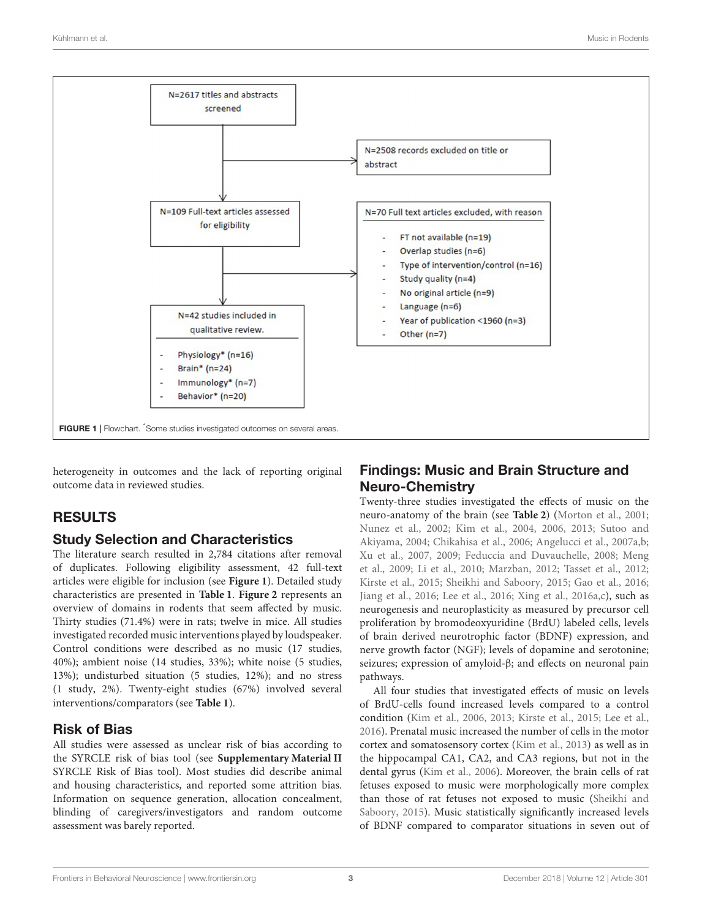

<span id="page-2-0"></span>heterogeneity in outcomes and the lack of reporting original outcome data in reviewed studies.

# RESULTS

### Study Selection and Characteristics

The literature search resulted in 2,784 citations after removal of duplicates. Following eligibility assessment, 42 full-text articles were eligible for inclusion (see **[Figure 1](#page-2-0)**). Detailed study characteristics are presented in **[Table 1](#page-3-0)**. **[Figure 2](#page-6-0)** represents an overview of domains in rodents that seem affected by music. Thirty studies (71.4%) were in rats; twelve in mice. All studies investigated recorded music interventions played by loudspeaker. Control conditions were described as no music (17 studies, 40%); ambient noise (14 studies, 33%); white noise (5 studies, 13%); undisturbed situation (5 studies, 12%); and no stress (1 study, 2%). Twenty-eight studies (67%) involved several interventions/comparators (see **[Table 1](#page-3-0)**).

### Risk of Bias

All studies were assessed as unclear risk of bias according to the SYRCLE risk of bias tool (see **[Supplementary Material II](#page-16-11)** SYRCLE Risk of Bias tool). Most studies did describe animal and housing characteristics, and reported some attrition bias. Information on sequence generation, allocation concealment, blinding of caregivers/investigators and random outcome assessment was barely reported.

# Findings: Music and Brain Structure and Neuro-Chemistry

Twenty-three studies investigated the effects of music on the neuro-anatomy of the brain (see **[Table 2](#page-7-0)**) [\(Morton et al., 2001;](#page-17-11) [Nunez et al., 2002;](#page-17-12) [Kim et al., 2004,](#page-17-13) [2006,](#page-17-14) [2013;](#page-17-15) Sutoo and Akiyama, [2004;](#page-17-5) [Chikahisa et al., 2006;](#page-16-13) [Angelucci et al., 2007a](#page-16-14)[,b;](#page-16-15) [Xu et al., 2007,](#page-18-0) [2009;](#page-18-1) [Feduccia and Duvauchelle, 2008;](#page-16-8) Meng et al., [2009;](#page-17-16) [Li et al., 2010;](#page-17-17) [Marzban, 2012;](#page-17-18) [Tasset et al., 2012;](#page-17-6) [Kirste et al., 2015;](#page-17-8) [Sheikhi and Saboory, 2015;](#page-17-19) [Gao et al., 2016;](#page-16-10) [Jiang et al., 2016;](#page-16-16) [Lee et al., 2016;](#page-17-20) [Xing et al., 2016a,](#page-17-21)[c\)](#page-17-7), such as neurogenesis and neuroplasticity as measured by precursor cell proliferation by bromodeoxyuridine (BrdU) labeled cells, levels of brain derived neurotrophic factor (BDNF) expression, and nerve growth factor (NGF); levels of dopamine and serotonine; seizures; expression of amyloid-β; and effects on neuronal pain pathways.

All four studies that investigated effects of music on levels of BrdU-cells found increased levels compared to a control condition [\(Kim et al., 2006,](#page-17-14) [2013;](#page-17-15) [Kirste et al., 2015;](#page-17-8) [Lee et al.,](#page-17-20) [2016\)](#page-17-20). Prenatal music increased the number of cells in the motor cortex and somatosensory cortex [\(Kim et al., 2013\)](#page-17-15) as well as in the hippocampal CA1, CA2, and CA3 regions, but not in the dental gyrus [\(Kim et al., 2006\)](#page-17-14). Moreover, the brain cells of rat fetuses exposed to music were morphologically more complex than those of rat fetuses not exposed to music (Sheikhi and Saboory, [2015\)](#page-17-19). Music statistically significantly increased levels of BDNF compared to comparator situations in seven out of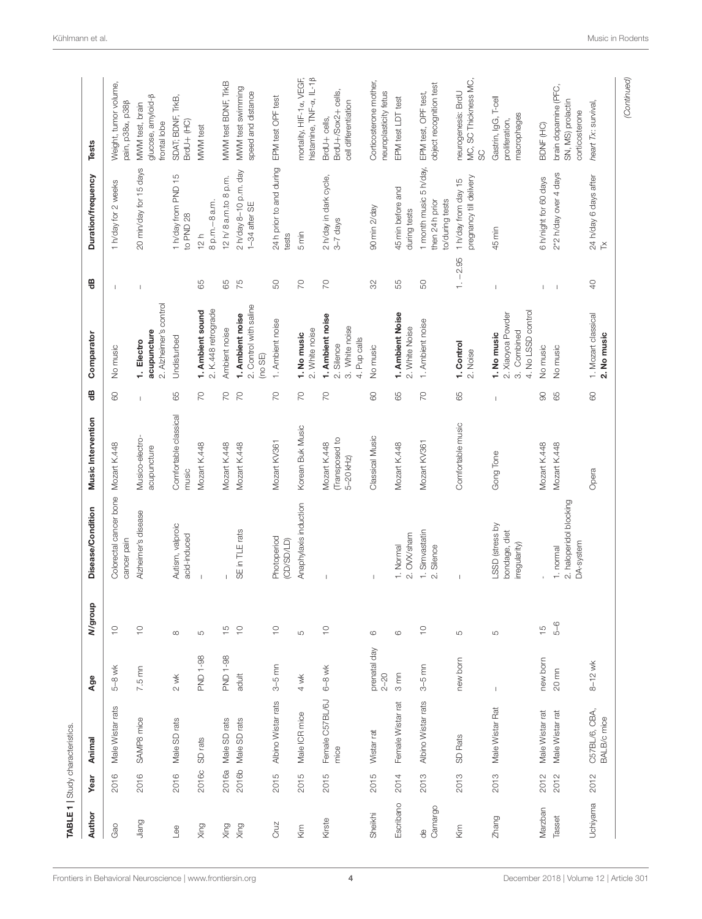| Author                          | Year         | Animal                              | Age                      | N/group                   | Disease/Condition                                        | Music Intervention                         | $\frac{a}{b}$  | Comparator                                                            | $\frac{a}{d}$            | Duration/frequency                                           | Tests                                                             |
|---------------------------------|--------------|-------------------------------------|--------------------------|---------------------------|----------------------------------------------------------|--------------------------------------------|----------------|-----------------------------------------------------------------------|--------------------------|--------------------------------------------------------------|-------------------------------------------------------------------|
| Gao                             | 2016         | Male Wistar rats                    | 5-8 wk                   | $\supseteq$               | Colorectal cancer bone<br>cancer pain                    | Mozart K.448                               | $\rm ^{\rm o}$ | No music                                                              | $\mathsf I$              | 1 h/day for 2 weeks                                          | Weight, tumor volume,<br>pain, p38a, p38β                         |
| Jiang                           | 2016         | SAMP8 mice                          | $7.5$ mn                 | $\supseteq$               | Alzheimer's disease                                      | Musico-electro-<br>acupuncture             | $\mathbf{I}$   | 2. Alzheimer's control<br>acupuncture<br>1. Electro                   | $\overline{\phantom{a}}$ | 20 min/day for 15 days                                       | glucose, amyloid- <sub>B</sub><br>MWM test, brain<br>frontal lobe |
| Lee                             | 2016         | Male SD rats                        | $2$ wk                   | $\infty$                  | Autism, valproic<br>acid-induced                         | Comfortable classical<br>music             | 65             | Undisturbed                                                           |                          | 1 h/day from PND 15<br>to PND 28                             | SDAT; BDNF, TrkB,<br>BrdU+ (HC)                                   |
| Xing                            | 2016c        | SD rats                             | PND 1-98                 | LO                        |                                                          | Mozart K.448                               | 20             | 2. K.448 retrograde<br>1. Ambient sound                               | 65                       | 8 p.m. - 8 a.m.<br>12 h                                      | MWM test                                                          |
| Xing                            | 2016a        | Male SD rats                        | <b>PND 1-98</b>          | $\frac{5}{1}$             |                                                          | Mozart K.448                               | 20             | Ambient noise                                                         | 65                       | 12 h/8a.m.to 8 p.m.                                          | MWM test BDNF, TrkB                                               |
| Xing                            | <b>2016b</b> | Male SD rats                        | adult                    | $\subsetneq$              | SE in TLE rats                                           | Mozart K.448                               | $\overline{C}$ | 2. Control with saline<br>1. Ambient noise<br>$($ no SE $)$           | 75                       | 2 h/day 8-10 p.m. day<br>1-34 after SE                       | MVVM test swimming<br>speed and distance                          |
| Oruz                            | 2015         | Albino Wistar rats                  | $3-5$ mn                 | $\overline{\phantom{0}}$  | Photoperiod<br>(CD/SD/LD)                                | Mozart KV361                               | <b>P</b>       | 1. Ambient noise                                                      | 50                       | 24 h prior to and during<br>tests                            | EPM test OPF test                                                 |
| Kim                             | 2015         | Male ICR mice                       | $4$ wk                   | LO                        | Anaphylaxis induction                                    | Korean Buk Music                           | $\overline{C}$ | 2. White noise<br>1. No music                                         | $\overline{C}$           | 5 min                                                        | mortality, HIF-1a, VEGF,<br>histamine, TNF-a, IL-1β               |
| Kirste                          | 2015         | Female C57BL/6J<br>mice             | 6–8 wk                   | $\mathop{=}^{\mathbb{C}}$ |                                                          | Transposed to<br>Mozart K.448<br>5-20 kHz) | SZ             | 1. Ambient noise<br>3. White noise<br>4. Pup calls<br>2. Silence      | $\overline{C}$           | 2 h/day in dark cycle,<br>$3-7$ days                         | $BrdU + /Sox2 +$ cells,<br>cell differentiation<br>BrdU+ cells,   |
| Sheikhi                         | 2015         | Wistar rat                          | prenatal day<br>$2 - 20$ | $\circlearrowright$       |                                                          | Classical Music                            | $\rm ^{\rm o}$ | No music                                                              | SS                       | 90 min 2/day                                                 | Corticosterone mother,<br>neuroplasticity fetus                   |
| Escribano                       | 2014         | Female Wistar rat                   | $3 \text{ mm}$           | $\circ$                   | OVX/sham<br>1. Normal<br>$\overline{\mathcal{N}}$        | Mozart K.448                               | 89             | 1. Ambient Noise<br>2. White Noise                                    | 55                       | 45 min before and<br>during tests                            | EPM test LDT test                                                 |
| Camargo<br>$\frac{1}{\sqrt{2}}$ | 2013         | Albino Wistar rats                  | $3-5$ mn                 | $\mathop{=}^\mathbb{C}$   | Simvastatin<br>Silence<br>$\rightleftharpoons$<br>$\sim$ | Mozart KV361                               | $\overline{C}$ | 1. Ambient noise                                                      | 50                       | 1 month music 5 h/day,<br>to/during tests<br>then 24 h prior | object recognition test<br>EPM test, OPF test,                    |
| Kim                             | 2013         | SD Rats                             | new born                 | LO                        | $\mathbf{I}$                                             | Comfortable music                          | 89             | 1. Control<br>2. Noise                                                | $-2.95$<br>÷             | pregnancy till delivery<br>1 h/day from day 15               | MC, SC Thickness MC<br>neurogenesis: BrdU<br>SC                   |
| $Z$ hang                        | 2013         | Male Wistar Rat                     | $\mathbb I$              | LO                        | LSSD (stress by<br>bondage, diet<br>irregularity)        | Gong Tone                                  | $\overline{1}$ | 4. No LSSD control<br>2. Xiaoyoa Powder<br>3. Combined<br>1. No music |                          | 45 min                                                       | Gastrin, IgG, T-cell<br>macrophages<br>proliferation,             |
| Marzban                         | 2012         | Male Wistar rat                     | new born                 | $\frac{5}{1}$             |                                                          | Mozart K.448                               | 8              | No music                                                              | $\mathsf{L}$             | 6 h/night for 60 days                                        | BDNF (HC)                                                         |
| Tasset                          | 2012         | Male Wistar rat                     | 20 mn                    | $5-6$                     | 2. haloperidol blocking<br>DA-system<br>1. normal        | Mozart K.448                               | 65             | No music                                                              | $\overline{1}$           | 2*2 h/day over 4 days                                        | brain dopamine (PFC,<br>SN, MS) prolactin<br>corticosterone       |
| Uchiyama                        | 2012         | C57BL/6, CBA,<br><b>BALB/c</b> mice | $8-12$ wk                |                           |                                                          | Opera                                      | $\rm ^{\rm o}$ | 1. Mozart classical<br>2. No music                                    | $\sqrt{2}$               | 24 h/day 6 days after<br>$\breve{\vdash}$                    | heart Tx: survival,                                               |
|                                 |              |                                     |                          |                           |                                                          |                                            |                |                                                                       |                          |                                                              | (Continued)                                                       |

<span id="page-3-0"></span>TABLE 1 | Study characteristics.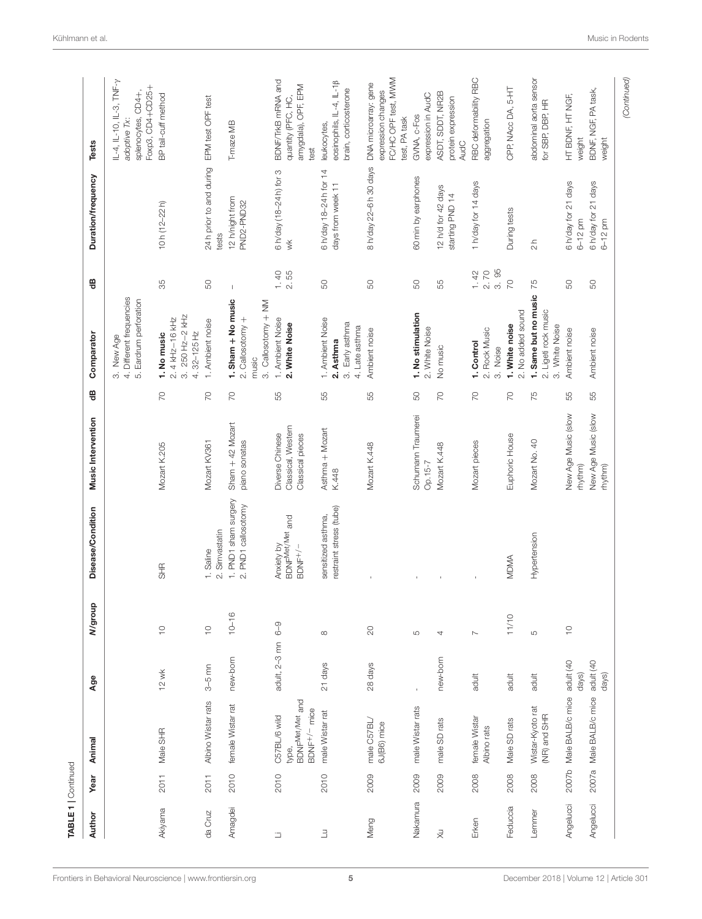| TABLE 1   Continued |      |                                                                          |                    |               |                                                           |                                                           |                |                                                                                               |                      |                                            |                                                                                         |
|---------------------|------|--------------------------------------------------------------------------|--------------------|---------------|-----------------------------------------------------------|-----------------------------------------------------------|----------------|-----------------------------------------------------------------------------------------------|----------------------|--------------------------------------------|-----------------------------------------------------------------------------------------|
| Author              | Year | Animal                                                                   | Age                | N/group       | Disease/Condition                                         | Music Intervention                                        | $\frac{1}{2}$  | Comparator                                                                                    | e⊌                   | Duration/frequency                         | Tests                                                                                   |
|                     |      |                                                                          |                    |               |                                                           |                                                           |                | 4. Different frequencies<br>Eardrum perforation<br>New Age<br>$\dot{\circ}$<br>$\dot{\infty}$ |                      |                                            | L-4, L-10, L-3, TNF- $\gamma$<br>Foxp3, CD4+CD25+<br>splenocytes, CD4+,<br>adoptive Tx: |
| Akiyama             | 2011 | Male SHR                                                                 | 12 wk              | $\supseteq$   | <b>SHR</b>                                                | Mozart K.205                                              | P2             | 3. 250 Hz-2 kHz<br>2.4 kHz-16 kHz<br>4.32-125 Hz<br>1. No music                               | 95                   | 10h (12-22h)                               | BP tail-cuff method                                                                     |
| da Cruz             | 2011 | Albino Wistar rats                                                       | $3-5$ mn           | $\supseteq$   | 2. Simvastatin<br>Saline<br>$\div$                        | Mozart KV361                                              | P <sub>2</sub> | 1. Ambient noise                                                                              | 50                   | 24 h prior to and during<br>tests          | EPM test OPF test                                                                       |
| Amagdei             | 2010 | female Wistar rat                                                        | new-born           | $10 - 16$     | 1. PND1 sham surgery<br>2. PND1 callosotomy               | Sham + 42 Mozart<br>piano sonatas                         | $\overline{C}$ | 1. Sham + No music<br>3. Callosotomy + NM<br>2. Callosotomy +<br>music                        | $\mathbb I$          | 12 h/night from<br>PND2-PND32              | T-maze MB                                                                               |
| Щ                   | 2010 | BDNF <sup>Met/Met</sup> and<br>$BDNF^{+/}$ mice<br>C57BL/6 wild<br>type, | adult, 2-3 mn 6-9  |               | BDNF <sup>Met/Met</sup> and<br>Anxiety by<br>$BDNF^{+/-}$ | Classical, Western<br>Diverse Chinese<br>Classical pieces | 55             | 1. Ambient Noise<br>2. White Noise                                                            | $1.40$<br>2.55       | 6 h/day (18-24 h) for 3<br>$\breve{}$      | BDNF/TrkB mRNA and<br>amygdala), OPF, EPM<br>quantity (PFC, HC,<br>test                 |
| $\exists$           | 2010 | male Wistar rat                                                          | 21 days            | $\infty$      | restraint stress (tube)<br>sensitized asthma,             | Asthma + Mozart<br>K.448                                  | 55             | 1. Ambient Noise<br>Early asthma<br>4. Late asthma<br>2. Asthma<br>$\dot{\infty}$             | 50                   | 6 h/day 18-24h for 14<br>days from week 11 | eosinophils, IL-4, IL-18<br>brain, corticosterone<br>leukocytes,                        |
| Meng                | 2009 | male C57BL/<br>6J(B6) mice                                               | 28 days            | $\rm 20$      |                                                           | Mozart K.448                                              | 55             | Ambient noise                                                                                 | 50                   | 8 h/day 22-6h 30 days                      | FC/HC OPF test, MWM<br>DNA microarray: gene<br>expression changes<br>test, PA task      |
| Nakamura            | 2009 | male Wistar rats                                                         |                    | Б             |                                                           | Schumann Traumerei<br>Op.15-7                             | 89             | 1. No stimulation<br>2. White Noise                                                           | 50                   | 60 min by earphones                        | expression in AudC<br>GVNA, c-Fos                                                       |
| $\gtrapprox$        | 2009 | male SD rats                                                             | new-born           | 4             |                                                           | Mozart K.448                                              | $\overline{C}$ | No music                                                                                      | 55                   | 12 h/d for 42 days<br>starting PND 14      | ASDT, SDDT, NR2B<br>protein expression<br>AudC                                          |
| Erken               | 2008 | female Wistar<br>Albino rats                                             | adult              | $\sim$        |                                                           | Mozart pieces                                             | <b>P2</b>      | 2. Rock Music<br>1. Control<br>3. Noise                                                       | 3.95<br>2.70<br>1.42 | 1 h/day for 14 days                        | RBC deformability RBC<br>aggregation                                                    |
| Feduccia            | 2008 | Male SD rats                                                             | adult              | 11/10         | <b>MDMA</b>                                               | Euphoric House                                            | $\overline{C}$ | 2. No added sound<br>1. White noise                                                           | $\overline{C}$       | During tests                               | OPP, NAcc DA, 5-HT                                                                      |
| Lemmer              | 2008 | Wistar-Kyoto rat<br>(NR) and SHR                                         | adult              | LO            | Hypertension                                              | Mozart No. 40                                             | 75             | 1. Same but no music<br>2. Ligeti rock music<br>3. White Noise                                | 75                   | $\frac{1}{2}$                              | abdominal aorta sensor<br>for SBP, DBP, HR                                              |
| Angelucci           |      | 2007b Male BALB/c mice adult (40                                         | days)              | $\frac{1}{2}$ |                                                           | New Age Music (slow<br>rhythm)                            | 55             | Ambient noise                                                                                 | SO                   | 6 h/day for 21 days<br>$6 - 12$ pm         | HT BDNF, HT NGF,<br>weight                                                              |
| Angelucci           |      | 2007a Male BALB/c mice                                                   | adult (40<br>days) |               |                                                           | New Age Music (slow<br>rhythm)                            | 55             | Ambient noise                                                                                 | 50                   | 6 h/day for 21 days<br>$6 - 12$ pm         | BDNF, NGF, PA task,<br>weight                                                           |
|                     |      |                                                                          |                    |               |                                                           |                                                           |                |                                                                                               |                      |                                            | Continued)                                                                              |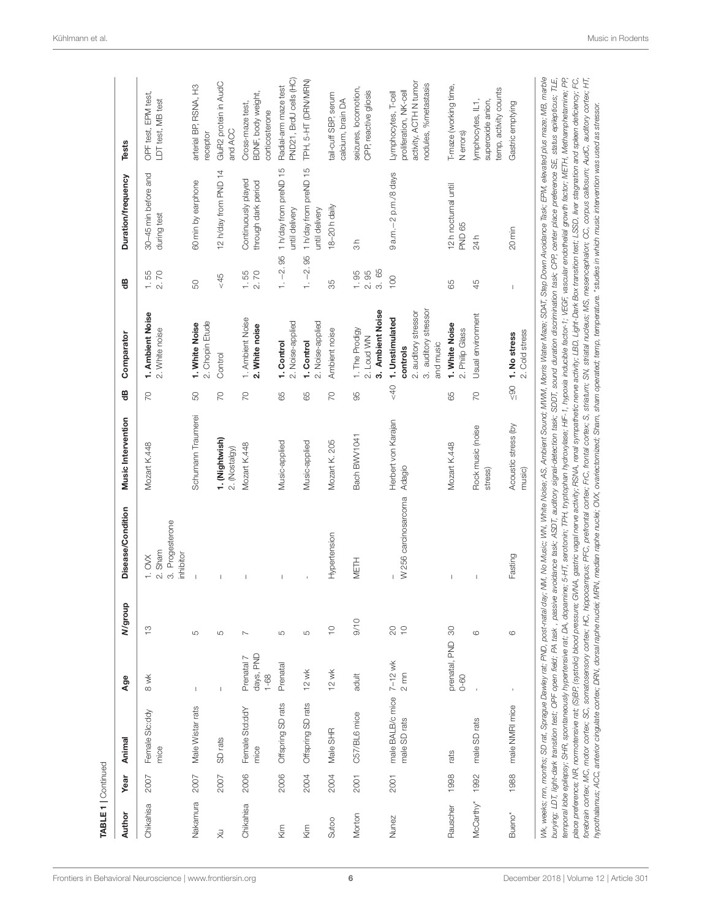| TABLE 1   Continued |      |                                                                             |                                     |             |                                                                                                                                                                                                                                                                                                                                                                                                                                                                                                                                                                                                                                                                                                                                                                                                                                                                                                                                                                                                                                                                                                                                                                                                                                                                                      |                                 |                |                                                                                          |                      |                                            |                                                                                                 |
|---------------------|------|-----------------------------------------------------------------------------|-------------------------------------|-------------|--------------------------------------------------------------------------------------------------------------------------------------------------------------------------------------------------------------------------------------------------------------------------------------------------------------------------------------------------------------------------------------------------------------------------------------------------------------------------------------------------------------------------------------------------------------------------------------------------------------------------------------------------------------------------------------------------------------------------------------------------------------------------------------------------------------------------------------------------------------------------------------------------------------------------------------------------------------------------------------------------------------------------------------------------------------------------------------------------------------------------------------------------------------------------------------------------------------------------------------------------------------------------------------|---------------------------------|----------------|------------------------------------------------------------------------------------------|----------------------|--------------------------------------------|-------------------------------------------------------------------------------------------------|
| Author              | Year | Animal                                                                      | Age                                 | N/group     | Disease/Condition                                                                                                                                                                                                                                                                                                                                                                                                                                                                                                                                                                                                                                                                                                                                                                                                                                                                                                                                                                                                                                                                                                                                                                                                                                                                    | Music Intervention              | e€             | Comparator                                                                               | e                    | Duration/frequency                         | Tests                                                                                           |
| Chikahisa           | 2007 | Female Slc:ddy<br>mice                                                      | 8 wk                                | S L         | 3. Progesterone<br>2. Sham<br>inhibitor<br>$\leq$<br>$\div$                                                                                                                                                                                                                                                                                                                                                                                                                                                                                                                                                                                                                                                                                                                                                                                                                                                                                                                                                                                                                                                                                                                                                                                                                          | Mozart K.448                    | P <sub>2</sub> | 1. Ambient Noise<br>2. White noise                                                       | $1.55$<br>2.70       | 30-45 min before and<br>during test        | OPF test, EPM test,<br>LDT test, MB test                                                        |
| Nakamura            | 2007 | Male Wistar rats                                                            | $\mathbf{I}$                        | LO          | $\overline{1}$                                                                                                                                                                                                                                                                                                                                                                                                                                                                                                                                                                                                                                                                                                                                                                                                                                                                                                                                                                                                                                                                                                                                                                                                                                                                       | Schumann Traumerei              | SO             | 2. Chopin Etude<br>1. White Noise                                                        | 50                   | 60 min by earphone                         | arterial BP, RSNA, H3<br>receptor                                                               |
| $\gtrapprox$        | 2007 | SD <sub>rats</sub>                                                          | $\overline{1}$                      | LO          | $\overline{1}$                                                                                                                                                                                                                                                                                                                                                                                                                                                                                                                                                                                                                                                                                                                                                                                                                                                                                                                                                                                                                                                                                                                                                                                                                                                                       | 1. (Nightwish)<br>2. (Nostalgy) | P <sub>2</sub> | Control                                                                                  | $58 - 45$            | 12 h/day from PND 14                       | GluR2 protein in AudC<br>and ACC                                                                |
| Chikahisa           | 2006 | Female Std:ddY<br>mice                                                      | days, PND<br>Prenatal 7<br>$1 - 68$ | $\sim$      | $\overline{\phantom{a}}$                                                                                                                                                                                                                                                                                                                                                                                                                                                                                                                                                                                                                                                                                                                                                                                                                                                                                                                                                                                                                                                                                                                                                                                                                                                             | Mozart K.448                    | $\overline{C}$ | 1. Ambient Noise<br>2. White noise                                                       | $1.55$<br>2.70       | Continuously played<br>through dark period | BDNF, body weight,<br>Cross-maze test,<br>corticosterone                                        |
| Kim                 | 2006 | Offspring SD rats                                                           | Prenatal                            | LO          |                                                                                                                                                                                                                                                                                                                                                                                                                                                                                                                                                                                                                                                                                                                                                                                                                                                                                                                                                                                                                                                                                                                                                                                                                                                                                      | Music-applied                   | 89             | 2. Noise-applied<br>1. Control                                                           | $1. -2.95$           | 1 h/day from preND 15<br>until delivery    | PND21, BrdU cells (HC)<br>Radial-arm maze test                                                  |
| Kim                 | 2004 | Offspring SD rats                                                           | $12$ wk                             | LO          |                                                                                                                                                                                                                                                                                                                                                                                                                                                                                                                                                                                                                                                                                                                                                                                                                                                                                                                                                                                                                                                                                                                                                                                                                                                                                      | Music-applied                   | 89             | 2. Noise-applied<br>1. Control                                                           | 95<br>$1. -2.$       | 1 h/day from preND 15<br>until delivery    | TPH, 5-HT (DRN/MRN)                                                                             |
| Sutoo               | 2004 | Male SHR                                                                    | $12$ wk                             | $\supseteq$ | Hypertension                                                                                                                                                                                                                                                                                                                                                                                                                                                                                                                                                                                                                                                                                                                                                                                                                                                                                                                                                                                                                                                                                                                                                                                                                                                                         | Mozart K. 205                   | <b>P</b>       | Ambient noise                                                                            | 35                   | I8-20h daily                               | ail-cuff SBP, serum<br>calcium, brain DA                                                        |
| Morton              | 2001 | C57/BL6 mice                                                                | adult                               | 9/10        | NETH                                                                                                                                                                                                                                                                                                                                                                                                                                                                                                                                                                                                                                                                                                                                                                                                                                                                                                                                                                                                                                                                                                                                                                                                                                                                                 | Bach BWV1041                    | 95             | 3. Ambient Noise<br>1. The Prodigy<br>2. Loud WN                                         | 3.65<br>2.95<br>1.95 | Sh                                         | seizures, locomotion,<br>CPP, reactive gliosis                                                  |
| Nunez               | 2001 | male BALB/c mice<br>male SD rats                                            | $7 - 12$ wk<br>$2 \text{ mm}$       | 20          | W 256 carcinosarcoma                                                                                                                                                                                                                                                                                                                                                                                                                                                                                                                                                                                                                                                                                                                                                                                                                                                                                                                                                                                                                                                                                                                                                                                                                                                                 | Herbert von Karajan<br>Adagio   | &0             | 3. auditory stressor<br>2. auditory stressor<br>1. Unstimulated<br>and music<br>controls | 100                  | 9a.m.-2 p.m./8 days                        | activity, ACTH N tumor<br>nodules, %metastasis<br>proliferation, NK-cell<br>Lymphocytes, T-cell |
| Rauscher            | 1998 | rats                                                                        | prenatal, PND<br>$0 - 60$           | $\odot$     | $\mathbf{I}$                                                                                                                                                                                                                                                                                                                                                                                                                                                                                                                                                                                                                                                                                                                                                                                                                                                                                                                                                                                                                                                                                                                                                                                                                                                                         | Mozart K.448                    | 89             | 1. White Noise<br>2. Philip Glass                                                        | 65                   | 12h nocturnal until<br>PND <sub>65</sub>   | T-maze (working time,<br>N errors)                                                              |
| McCarthy*           | 1992 | male SD rats                                                                |                                     | $\circ$     | $\overline{1}$                                                                                                                                                                                                                                                                                                                                                                                                                                                                                                                                                                                                                                                                                                                                                                                                                                                                                                                                                                                                                                                                                                                                                                                                                                                                       | Rock music (noise<br>stress)    | <b>P</b>       | Usual environment                                                                        | 45                   | 24h                                        | temp, activity counts<br>lymphocytes, IL1,<br>superoxide anion,                                 |
| Bueno <sup>*</sup>  | 1988 | male NMRI mice                                                              |                                     | 6           | Fasting                                                                                                                                                                                                                                                                                                                                                                                                                                                                                                                                                                                                                                                                                                                                                                                                                                                                                                                                                                                                                                                                                                                                                                                                                                                                              | Acoustic stress (by<br>music)   | $\frac{8}{10}$ | 2. Cold stress<br>1. No stress                                                           | $\overline{1}$       | 20 min                                     | Gastric emptying                                                                                |
|                     |      | burying; LDT, light-dark transition test; OPF open field; PA task , passive |                                     |             | Wk, weeks; mn, months; SD rat, Sprague Dawley rat; PND, post-natal day; NM, No Mogis; WA, Whiser AS burding Moder Norder Day Sport, Step Down Avoidance Task; EPM, elevated plus maze; MB, marble<br>temporal lobe epilepsy; SHR, sportaneously hypertensive rat; DA, doparnine; S-HT, serotonin; TPH, typtophan hydroxylase; HIF-1, hypoxia inducible factor-1; VEGF, vascular endothelial growth factor; METH, Methamphetamine; P<br>place preference; NR, normotensive rat; (S)Br, (systolic) blood pressure; GNAA, gastric vagal nerve activity; RSNA, renal sympathetic nerve activity; LBD, Light-Dark Box transition test; LSSD, liver stagnation and spleen d<br>avoidance task; ASDT, auditory signal-detection task; SDDT, sound duration discrimination task; CPP, center place preference SE, status epilepticus; TLE,<br>forebrain cortex; MC, motor cortex; SC, somatosensory cortex; HC, hippocampus; PFC, prefrontal cortex; PC, frontal cortex; S, striatal moleus; MS, mesencephalon; CC, corpus callosum; AudC, auditory cortex; HT,<br>hypothalamus; ACC, anterior cingulate cortex; DRN, dorsal raphe nuclei; MRN, median raphe nuclei; OVX, ovariectomized; Sham, sham operated; temp, temperature. *studies in which music intervention was used as stressor. |                                 |                |                                                                                          |                      |                                            |                                                                                                 |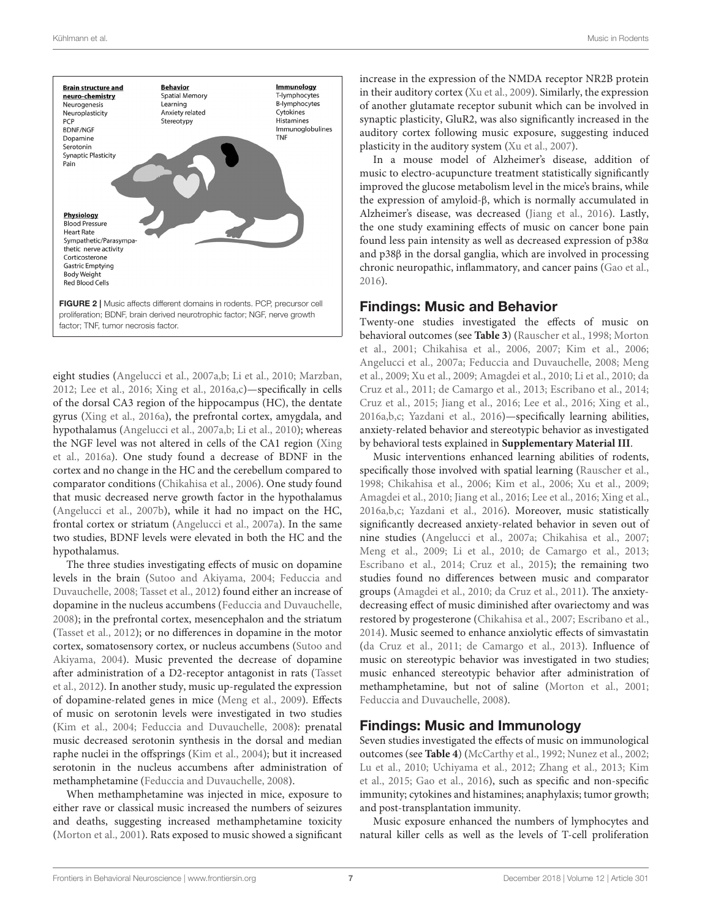

<span id="page-6-0"></span>eight studies [\(Angelucci et al., 2007a,](#page-16-14)[b;](#page-16-15) [Li et al., 2010;](#page-17-17) [Marzban,](#page-17-18) [2012;](#page-17-18) [Lee et al., 2016;](#page-17-20) [Xing et al., 2016a](#page-17-21)[,c\)](#page-17-7)—specifically in cells of the dorsal CA3 region of the hippocampus (HC), the dentate gyrus [\(Xing et al., 2016a\)](#page-17-21), the prefrontal cortex, amygdala, and hypothalamus [\(Angelucci et al., 2007a,](#page-16-14)[b;](#page-16-15) [Li et al., 2010\)](#page-17-17); whereas the NGF level was not altered in cells of the CA1 region (Xing et al., [2016a\)](#page-17-21). One study found a decrease of BDNF in the cortex and no change in the HC and the cerebellum compared to comparator conditions [\(Chikahisa et al., 2006\)](#page-16-13). One study found that music decreased nerve growth factor in the hypothalamus [\(Angelucci et al., 2007b\)](#page-16-15), while it had no impact on the HC, frontal cortex or striatum [\(Angelucci et al., 2007a\)](#page-16-14). In the same two studies, BDNF levels were elevated in both the HC and the hypothalamus.

The three studies investigating effects of music on dopamine levels in the brain [\(Sutoo and Akiyama, 2004;](#page-17-5) Feduccia and Duvauchelle, [2008;](#page-16-8) [Tasset et al., 2012\)](#page-17-6) found either an increase of dopamine in the nucleus accumbens [\(Feduccia and Duvauchelle,](#page-16-8) [2008\)](#page-16-8); in the prefrontal cortex, mesencephalon and the striatum [\(Tasset et al., 2012\)](#page-17-6); or no differences in dopamine in the motor cortex, somatosensory cortex, or nucleus accumbens (Sutoo and Akiyama, [2004\)](#page-17-5). Music prevented the decrease of dopamine after administration of a D2-receptor antagonist in rats (Tasset et al., [2012\)](#page-17-6). In another study, music up-regulated the expression of dopamine-related genes in mice [\(Meng et al., 2009\)](#page-17-16). Effects of music on serotonin levels were investigated in two studies [\(Kim et al., 2004;](#page-17-13) [Feduccia and Duvauchelle, 2008\)](#page-16-8): prenatal music decreased serotonin synthesis in the dorsal and median raphe nuclei in the offsprings [\(Kim et al., 2004\)](#page-17-13); but it increased serotonin in the nucleus accumbens after administration of methamphetamine [\(Feduccia and Duvauchelle, 2008\)](#page-16-8).

When methamphetamine was injected in mice, exposure to either rave or classical music increased the numbers of seizures and deaths, suggesting increased methamphetamine toxicity [\(Morton et al., 2001\)](#page-17-11). Rats exposed to music showed a significant increase in the expression of the NMDA receptor NR2B protein in their auditory cortex [\(Xu et al., 2009\)](#page-18-1). Similarly, the expression of another glutamate receptor subunit which can be involved in synaptic plasticity, GluR2, was also significantly increased in the auditory cortex following music exposure, suggesting induced plasticity in the auditory system [\(Xu et al., 2007\)](#page-18-0).

In a mouse model of Alzheimer's disease, addition of music to electro-acupuncture treatment statistically significantly improved the glucose metabolism level in the mice's brains, while the expression of amyloid-β, which is normally accumulated in Alzheimer's disease, was decreased [\(Jiang et al., 2016\)](#page-16-16). Lastly, the one study examining effects of music on cancer bone pain found less pain intensity as well as decreased expression of p38α and p38β in the dorsal ganglia, which are involved in processing chronic neuropathic, inflammatory, and cancer pains [\(Gao et al.,](#page-16-10) [2016\)](#page-16-10).

### Findings: Music and Behavior

Twenty-one studies investigated the effects of music on behavioral outcomes (see **[Table 3](#page-9-0)**) [\(Rauscher et al., 1998;](#page-17-22) Morton et al., [2001;](#page-17-11) [Chikahisa et al., 2006,](#page-16-13) [2007;](#page-16-17) [Kim et al., 2006;](#page-17-14) [Angelucci et al., 2007a;](#page-16-14) [Feduccia and Duvauchelle, 2008;](#page-16-8) Meng et al., [2009;](#page-17-16) [Xu et al., 2009;](#page-18-1) [Amagdei et al., 2010;](#page-16-18) [Li et al., 2010;](#page-17-17) da Cruz et al., [2011;](#page-16-19) [de Camargo et al., 2013;](#page-16-20) [Escribano et al., 2014;](#page-16-9) [Cruz et al., 2015;](#page-16-21) [Jiang et al., 2016;](#page-16-16) [Lee et al., 2016;](#page-17-20) [Xing et al.,](#page-17-21) [2016a](#page-17-21)[,b,](#page-17-23)[c;](#page-17-7) [Yazdani et al., 2016\)](#page-18-2)—specifically learning abilities, anxiety-related behavior and stereotypic behavior as investigated by behavioral tests explained in **[Supplementary Material III](#page-16-11)**.

Music interventions enhanced learning abilities of rodents, specifically those involved with spatial learning [\(Rauscher et al.,](#page-17-22) [1998;](#page-17-22) [Chikahisa et al., 2006;](#page-16-13) [Kim et al., 2006;](#page-17-14) [Xu et al., 2009;](#page-18-1) [Amagdei et al., 2010;](#page-16-18) [Jiang et al., 2016;](#page-16-16) [Lee et al., 2016;](#page-17-20) [Xing](#page-17-21) et al., [2016a](#page-17-21)[,b,](#page-17-23)[c;](#page-17-7) [Yazdani et al., 2016\)](#page-18-2). Moreover, music statistically significantly decreased anxiety-related behavior in seven out of nine studies [\(Angelucci et al., 2007a;](#page-16-14) [Chikahisa et al., 2007;](#page-16-17) [Meng et al., 2009;](#page-17-16) [Li et al., 2010;](#page-17-17) [de Camargo et al., 2013;](#page-16-20) [Escribano et al., 2014;](#page-16-9) [Cruz et al., 2015\)](#page-16-21); the remaining two studies found no differences between music and comparator groups [\(Amagdei et al., 2010;](#page-16-18) [da Cruz et al., 2011\)](#page-16-19). The anxietydecreasing effect of music diminished after ovariectomy and was restored by progesterone [\(Chikahisa et al., 2007;](#page-16-17) [Escribano et al.,](#page-16-9) [2014\)](#page-16-9). Music seemed to enhance anxiolytic effects of simvastatin [\(da Cruz et al., 2011;](#page-16-19) [de Camargo et al., 2013\)](#page-16-20). Influence of music on stereotypic behavior was investigated in two studies; music enhanced stereotypic behavior after administration of methamphetamine, but not of saline [\(Morton et al., 2001;](#page-17-11) [Feduccia and Duvauchelle, 2008\)](#page-16-8).

# Findings: Music and Immunology

Seven studies investigated the effects of music on immunological outcomes (see **[Table 4](#page-11-0)**) [\(McCarthy et al., 1992;](#page-17-24) [Nunez et al., 2002;](#page-17-12) [Lu et al., 2010;](#page-17-25) [Uchiyama et al., 2012;](#page-17-9) [Zhang et al., 2013;](#page-18-3) Kim et al., [2015;](#page-17-26) [Gao et al., 2016\)](#page-16-10), such as specific and non-specific immunity; cytokines and histamines; anaphylaxis; tumor growth; and post-transplantation immunity.

Music exposure enhanced the numbers of lymphocytes and natural killer cells as well as the levels of T-cell proliferation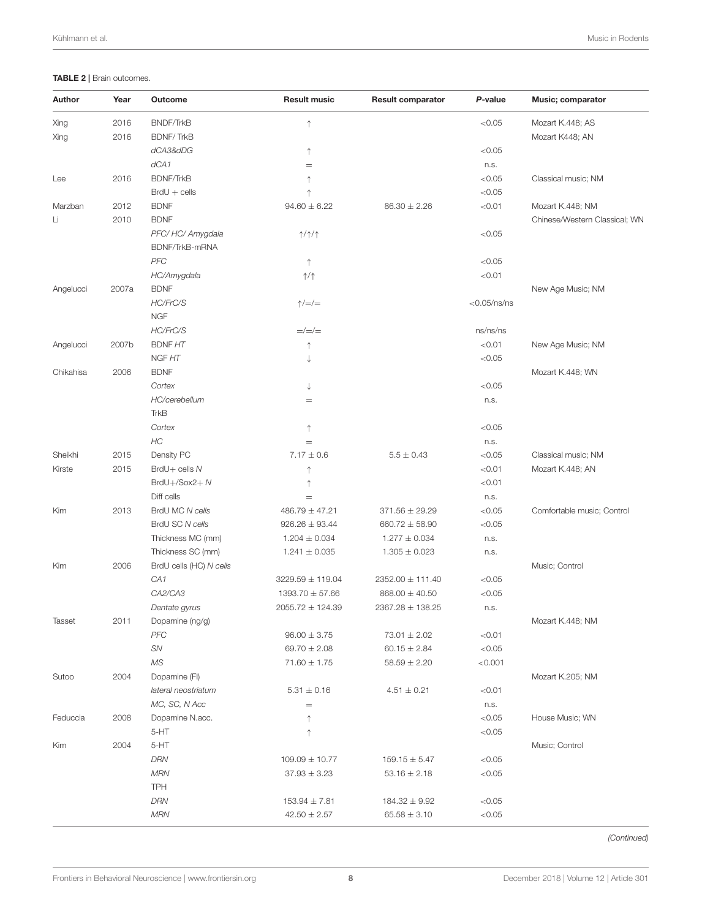#### <span id="page-7-0"></span>TABLE 2 | Brain outcomes.

| Author    | Year  | Outcome                 | <b>Result music</b>  | <b>Result comparator</b> | P-value        | Music; comparator             |
|-----------|-------|-------------------------|----------------------|--------------------------|----------------|-------------------------------|
| Xing      | 2016  | <b>BNDF/TrkB</b>        | $\uparrow$           |                          | <0.05          | Mozart K.448; AS              |
| Xing      | 2016  | <b>BDNF/TrkB</b>        |                      |                          |                | Mozart K448; AN               |
|           |       | dCA3&dDG                | ↑                    |                          | < 0.05         |                               |
|           |       | dCA1                    | $=$                  |                          | n.s.           |                               |
| Lee       | 2016  | <b>BDNF/TrkB</b>        | $\uparrow$           |                          | <0.05          | Classical music; NM           |
|           |       | $BrdU +$ cells          | $\uparrow$           |                          | < 0.05         |                               |
| Marzban   | 2012  | <b>BDNF</b>             | $94.60 \pm 6.22$     | $86.30 \pm 2.26$         | < 0.01         | Mozart K.448; NM              |
| Li        | 2010  | <b>BDNF</b>             |                      |                          |                | Chinese/Western Classical; WN |
|           |       | PFC/ HC/ Amygdala       | 1/1/1                |                          | < 0.05         |                               |
|           |       | BDNF/TrkB-mRNA          |                      |                          |                |                               |
|           |       | <b>PFC</b>              | $\uparrow$           |                          | <0.05          |                               |
|           |       | HC/Amygdala             | $\uparrow/\uparrow$  |                          | < 0.01         |                               |
| Angelucci | 2007a | <b>BDNF</b>             |                      |                          |                | New Age Music; NM             |
|           |       | HC/FrC/S                | $\uparrow$ /=/=      |                          | $<$ 0.05/ns/ns |                               |
|           |       | <b>NGF</b>              |                      |                          |                |                               |
|           |       | HC/FrC/S                | $=/-/-$              |                          | ns/ns/ns       |                               |
| Angelucci | 2007b | <b>BDNF HT</b>          | ↑                    |                          | < 0.01         | New Age Music; NM             |
|           |       | NGF HT                  | ↓                    |                          | <0.05          |                               |
| Chikahisa | 2006  | <b>BDNF</b>             |                      |                          |                | Mozart K.448; WN              |
|           |       | Cortex                  | ↓                    |                          | < 0.05         |                               |
|           |       | HC/cerebellum           | $=$                  |                          | n.s.           |                               |
|           |       | TrkB                    |                      |                          |                |                               |
|           |       | Cortex                  | $\uparrow$           |                          | <0.05          |                               |
|           |       | HC                      | $=$                  |                          | n.s.           |                               |
| Sheikhi   | 2015  | Density PC              | $7.17 \pm 0.6$       | $5.5 \pm 0.43$           | <0.05          | Classical music; NM           |
| Kirste    | 2015  | $BrdU +$ cells $N$      | $\uparrow$           |                          | < 0.01         | Mozart K.448; AN              |
|           |       | BrdU+/Sox2+ N           | ↑                    |                          | < 0.01         |                               |
|           |       | Diff cells              | $=$                  |                          | n.s.           |                               |
| Kim       | 2013  | BrdU MC N cells         | $486.79 \pm 47.21$   | $371.56 \pm 29.29$       | <0.05          | Comfortable music; Control    |
|           |       | BrdU SC N cells         | $926.26 \pm 93.44$   | $660.72 \pm 58.90$       | <0.05          |                               |
|           |       | Thickness MC (mm)       | $1.204 \pm 0.034$    | $1.277 \pm 0.034$        | n.s.           |                               |
|           |       | Thickness SC (mm)       | $1.241 \pm 0.035$    | $1.305 \pm 0.023$        | n.s.           |                               |
| Kim       | 2006  | BrdU cells (HC) N cells |                      |                          |                | Music; Control                |
|           |       | CA <sub>1</sub>         | $3229.59 \pm 119.04$ | $2352.00 \pm 111.40$     | <0.05          |                               |
|           |       | CA2/CA3                 | 1393.70 ± 57.66      | 868.00 ± 40.50           | < 0.05         |                               |
|           |       | Dentate gyrus           | $2055.72 \pm 124.39$ | $2367.28 \pm 138.25$     | n.s.           |                               |
| Tasset    | 2011  | Dopamine (ng/g)         |                      |                          |                | Mozart K.448; NM              |
|           |       | <b>PFC</b>              | $96.00 \pm 3.75$     | $73.01 \pm 2.02$         | < 0.01         |                               |
|           |       | SN                      | $69.70 \pm 2.08$     | $60.15 \pm 2.84$         | < 0.05         |                               |
|           |       | MS                      | $71.60 \pm 1.75$     | $58.59 \pm 2.20$         | < 0.001        |                               |
| Sutoo     | 2004  | Dopamine (FI)           |                      |                          |                | Mozart K.205; NM              |
|           |       | lateral neostriatum     | $5.31 \pm 0.16$      | $4.51 \pm 0.21$          | < 0.01         |                               |
|           |       | MC, SC, N Acc           | $=$                  |                          | n.s.           |                               |
| Feduccia  | 2008  | Dopamine N.acc.         | $\uparrow$           |                          | < 0.05         | House Music; WN               |
|           |       | 5-HT                    | $\uparrow$           |                          | <0.05          |                               |
| Kim       | 2004  | 5-HT                    |                      |                          |                | Music; Control                |
|           |       | <b>DRN</b>              | $109.09 \pm 10.77$   | $159.15 \pm 5.47$        | <0.05          |                               |
|           |       | <b>MRN</b>              | $37.93 \pm 3.23$     | $53.16 \pm 2.18$         | <0.05          |                               |
|           |       | <b>TPH</b>              |                      |                          |                |                               |
|           |       | DRN                     | $153.94 \pm 7.81$    | $184.32 \pm 9.92$        | < 0.05         |                               |
|           |       | <b>MRN</b>              | $42.50 \pm 2.57$     | $65.58 \pm 3.10$         | < 0.05         |                               |
|           |       |                         |                      |                          |                |                               |

[Frontiers in Behavioral Neuroscience](https://www.frontiersin.org/journals/behavioral-neuroscience)| [www.frontiersin.org](https://www.frontiersin.org) **8** 8 [December 2018 | Volume 12 | Article 301](https://www.frontiersin.org/journals/behavioral-neuroscience#articles)

(Continued)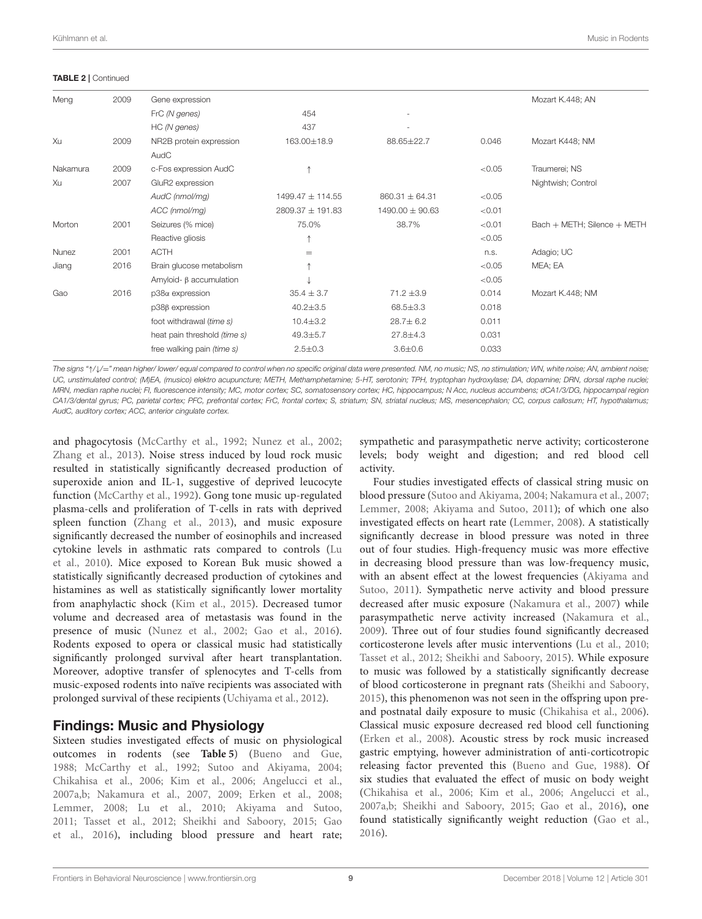#### TABLE 2 | Continued

| Meng     | 2009 | Gene expression               |                      |                    |        | Mozart K.448; AN               |
|----------|------|-------------------------------|----------------------|--------------------|--------|--------------------------------|
|          |      | FrC (N genes)                 | 454                  |                    |        |                                |
|          |      | HC (N genes)                  | 437                  |                    |        |                                |
| Xu       | 2009 | NR2B protein expression       | 163.00±18.9          | 88.65±22.7         | 0.046  | Mozart K448; NM                |
|          |      | AudC                          |                      |                    |        |                                |
| Nakamura | 2009 | c-Fos expression AudC         | $\uparrow$           |                    | < 0.05 | Traumerei; NS                  |
| Xu       | 2007 | GluR2 expression              |                      |                    |        | Nightwish; Control             |
|          |      | AudC (nmol/mg)                | $1499.47 \pm 114.55$ | $860.31 \pm 64.31$ | < 0.05 |                                |
|          |      | ACC (nmol/mg)                 | $2809.37 \pm 191.83$ | 1490.00 ± 90.63    | < 0.01 |                                |
| Morton   | 2001 | Seizures (% mice)             | 75.0%                | 38.7%              | < 0.01 | $Bach + METH$ ; Silence + METH |
|          |      | Reactive gliosis              | $\uparrow$           |                    | < 0.05 |                                |
| Nunez    | 2001 | <b>ACTH</b>                   | $=$                  |                    | n.s.   | Adagio; UC                     |
| Jiang    | 2016 | Brain glucose metabolism      | ↑                    |                    | < 0.05 | MEA; EA                        |
|          |      | Amyloid- $\beta$ accumulation |                      |                    | < 0.05 |                                |
| Gao      | 2016 | p38a expression               | $35.4 \pm 3.7$       | $71.2 \pm 3.9$     | 0.014  | Mozart K.448; NM               |
|          |      | $p38\beta$ expression         | $40.2 \pm 3.5$       | 68.5±3.3           | 0.018  |                                |
|          |      | foot withdrawal (time s)      | $10.4 \pm 3.2$       | $28.7 \pm 6.2$     | 0.011  |                                |
|          |      | heat pain threshold (time s)  | 49.3±5.7             | $27.8 + 4.3$       | 0.031  |                                |
|          |      | free walking pain (time s)    | $2.5 \pm 0.3$        | $3.6 \pm 0.6$      | 0.033  |                                |

The signs " $\uparrow\downarrow/\equiv$ " mean higher/ lower/ equal compared to control when no specific original data were presented. NM, no music; NS, no stimulation; WN, white noise; AN, ambient noise; UC, unstimulated control; (M)EA, (musico) elektro acupuncture; METH, Methamphetamine; 5-HT, serotonin; TPH, tryptophan hydroxylase; DA, dopamine; DRN, dorsal raphe nuclei; MRN, median raphe nuclei; FI, fluorescence intensity; MC, motor cortex; SC, somatosensory cortex; HC, hippocampus; N Acc, nucleus accumbens; dCA1/3/DG, hippocampal region CA1/3/dental gyrus; PC, parietal cortex; PFC, prefrontal cortex; FrC, frontal cortex; S, striatum; SN, striatal nucleus; MS, mesencephalon; CC, corpus callosum; HT, hypothalamus; AudC, auditory cortex; ACC, anterior cingulate cortex.

and phagocytosis [\(McCarthy et al., 1992;](#page-17-24) [Nunez et al., 2002;](#page-17-12) [Zhang et al., 2013\)](#page-18-3). Noise stress induced by loud rock music resulted in statistically significantly decreased production of superoxide anion and IL-1, suggestive of deprived leucocyte function [\(McCarthy et al., 1992\)](#page-17-24). Gong tone music up-regulated plasma-cells and proliferation of T-cells in rats with deprived spleen function [\(Zhang et al., 2013\)](#page-18-3), and music exposure significantly decreased the number of eosinophils and increased cytokine levels in asthmatic rats compared to controls (Lu et al., [2010\)](#page-17-25). Mice exposed to Korean Buk music showed a statistically significantly decreased production of cytokines and histamines as well as statistically significantly lower mortality from anaphylactic shock [\(Kim et al., 2015\)](#page-17-26). Decreased tumor volume and decreased area of metastasis was found in the presence of music [\(Nunez et al., 2002;](#page-17-12) [Gao et al., 2016\)](#page-16-10). Rodents exposed to opera or classical music had statistically significantly prolonged survival after heart transplantation. Moreover, adoptive transfer of splenocytes and T-cells from music-exposed rodents into naïve recipients was associated with prolonged survival of these recipients [\(Uchiyama et al., 2012\)](#page-17-9).

### Findings: Music and Physiology

Sixteen studies investigated effects of music on physiological outcomes in rodents (see **[Table 5](#page-12-0)**) [\(Bueno and Gue,](#page-16-22) [1988;](#page-16-22) [McCarthy et al., 1992;](#page-17-24) [Sutoo and Akiyama, 2004;](#page-17-5) [Chikahisa et al., 2006;](#page-16-13) [Kim et al., 2006;](#page-17-14) [Angelucci et al.,](#page-16-14) [2007a](#page-16-14)[,b;](#page-16-15) [Nakamura et al., 2007,](#page-17-27) [2009;](#page-17-28) [Erken et al., 2008;](#page-16-23) [Lemmer, 2008;](#page-17-29) [Lu et al., 2010;](#page-17-25) [Akiyama and Sutoo,](#page-16-24) [2011;](#page-16-24) [Tasset et al., 2012;](#page-17-6) [Sheikhi and Saboory, 2015;](#page-17-19) Gao et al., [2016\)](#page-16-10), including blood pressure and heart rate; sympathetic and parasympathetic nerve activity; corticosterone levels; body weight and digestion; and red blood cell activity.

Four studies investigated effects of classical string music on blood pressure [\(Sutoo and Akiyama, 2004;](#page-17-5) [Nakamura et al., 2007;](#page-17-27) [Lemmer, 2008;](#page-17-29) [Akiyama and Sutoo, 2011\)](#page-16-24); of which one also investigated effects on heart rate [\(Lemmer, 2008\)](#page-17-29). A statistically significantly decrease in blood pressure was noted in three out of four studies. High-frequency music was more effective in decreasing blood pressure than was low-frequency music, with an absent effect at the lowest frequencies (Akiyama and Sutoo, [2011\)](#page-16-24). Sympathetic nerve activity and blood pressure decreased after music exposure [\(Nakamura et al., 2007\)](#page-17-27) while parasympathetic nerve activity increased [\(Nakamura et al.,](#page-17-28) [2009\)](#page-17-28). Three out of four studies found significantly decreased corticosterone levels after music interventions [\(Lu et al., 2010;](#page-17-25) [Tasset et al., 2012;](#page-17-6) [Sheikhi and Saboory, 2015\)](#page-17-19). While exposure to music was followed by a statistically significantly decrease of blood corticosterone in pregnant rats [\(Sheikhi and Saboory,](#page-17-19) [2015\)](#page-17-19), this phenomenon was not seen in the offspring upon preand postnatal daily exposure to music [\(Chikahisa et al., 2006\)](#page-16-13). Classical music exposure decreased red blood cell functioning [\(Erken et al., 2008\)](#page-16-23). Acoustic stress by rock music increased gastric emptying, however administration of anti-corticotropic releasing factor prevented this [\(Bueno and Gue, 1988\)](#page-16-22). Of six studies that evaluated the effect of music on body weight [\(Chikahisa et al., 2006;](#page-16-13) [Kim et al., 2006;](#page-17-14) [Angelucci et al.,](#page-16-14) [2007a](#page-16-14)[,b;](#page-16-15) [Sheikhi and Saboory, 2015;](#page-17-19) [Gao et al., 2016\)](#page-16-10), one found statistically significantly weight reduction [\(Gao et al.,](#page-16-10) [2016\)](#page-16-10).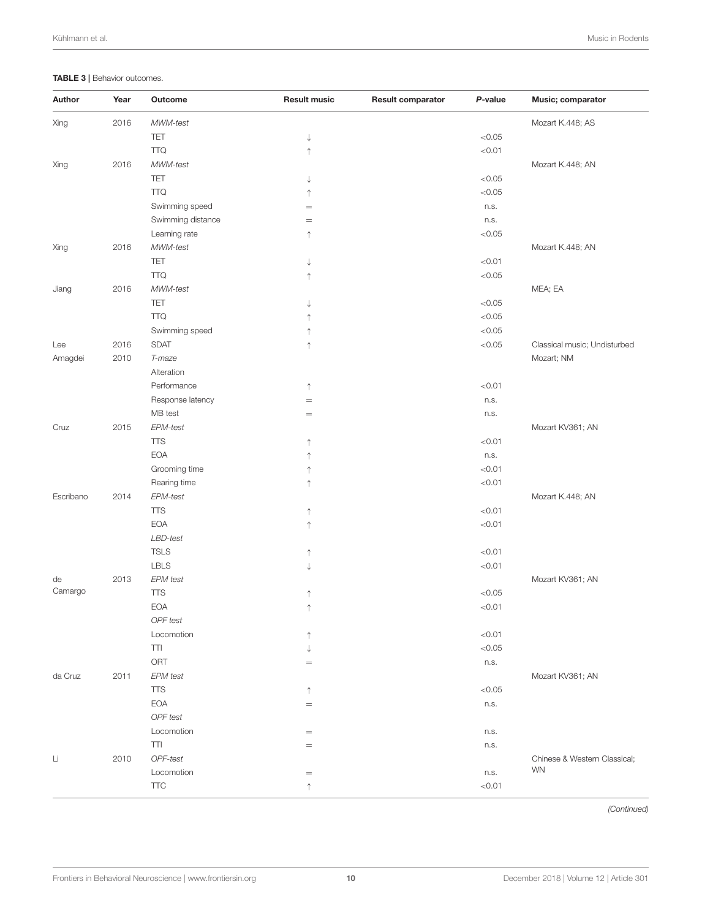#### <span id="page-9-0"></span>TABLE 3 | Behavior outcomes.

| Author    | Year | Outcome                | <b>Result music</b> | Result comparator | P-value | Music; comparator            |
|-----------|------|------------------------|---------------------|-------------------|---------|------------------------------|
| Xing      | 2016 | MWM-test               |                     |                   |         | Mozart K.448; AS             |
|           |      | TET                    | $\downarrow$        |                   | < 0.05  |                              |
|           |      | <b>TTQ</b>             | $\uparrow$          |                   | < 0.01  |                              |
| Xing      | 2016 | MWM-test               |                     |                   |         | Mozart K.448; AN             |
|           |      | TET                    | $\downarrow$        |                   | < 0.05  |                              |
|           |      | <b>TTQ</b>             | $\uparrow$          |                   | < 0.05  |                              |
|           |      | Swimming speed         | $\qquad \qquad =$   |                   | n.s.    |                              |
|           |      | Swimming distance      | $=$                 |                   | n.s.    |                              |
|           |      | Learning rate          | $\uparrow$          |                   | < 0.05  |                              |
| Xing      | 2016 | MWM-test               |                     |                   |         | Mozart K.448; AN             |
|           |      | TET                    | $\downarrow$        |                   | < 0.01  |                              |
|           |      | <b>TTQ</b>             | $\uparrow$          |                   | < 0.05  |                              |
| Jiang     | 2016 | MWM-test               |                     |                   |         | MEA; EA                      |
|           |      | TET                    | $\downarrow$        |                   | < 0.05  |                              |
|           |      | <b>TTQ</b>             | $\uparrow$          |                   | < 0.05  |                              |
|           |      | Swimming speed         | $\uparrow$          |                   | < 0.05  |                              |
| Lee       | 2016 | <b>SDAT</b>            | $\uparrow$          |                   | < 0.05  | Classical music; Undisturbed |
| Amagdei   | 2010 | T-maze                 |                     |                   |         | Mozart; NM                   |
|           |      | Alteration             |                     |                   |         |                              |
|           |      | Performance            |                     |                   | < 0.01  |                              |
|           |      | Response latency       | $\uparrow$          |                   | n.s.    |                              |
|           |      | MB test                | $=$                 |                   |         |                              |
|           |      |                        | $=$                 |                   | n.s.    |                              |
| Cruz      | 2015 | EPM-test               |                     |                   |         | Mozart KV361; AN             |
|           |      | <b>TTS</b>             | $\uparrow$          |                   | < 0.01  |                              |
|           |      | EOA                    | $\uparrow$          |                   | n.s.    |                              |
|           |      | Grooming time          | $\uparrow$          |                   | < 0.01  |                              |
|           |      | Rearing time           | $\uparrow$          |                   | < 0.01  |                              |
| Escribano | 2014 | EPM-test               |                     |                   |         | Mozart K.448; AN             |
|           |      | <b>TTS</b>             | $\uparrow$          |                   | < 0.01  |                              |
|           |      | <b>EOA</b>             | $\uparrow$          |                   | < 0.01  |                              |
|           |      | LBD-test               |                     |                   |         |                              |
|           |      | <b>TSLS</b>            | $\uparrow$          |                   | < 0.01  |                              |
|           |      | <b>LBLS</b>            | $\downarrow$        |                   | < 0.01  |                              |
| de        | 2013 | <b>EPM</b> test        |                     |                   |         | Mozart KV361; AN             |
| Camargo   |      | <b>TTS</b>             | $\uparrow$          |                   | < 0.05  |                              |
|           |      | <b>EOA</b>             | $\uparrow$          |                   | < 0.01  |                              |
|           |      | OPF test               |                     |                   |         |                              |
|           |      | Locomotion             | $\uparrow$          |                   | < 0.01  |                              |
|           |      | T                      |                     |                   | < 0.05  |                              |
|           |      | ORT                    | $=$                 |                   | n.s.    |                              |
| da Cruz   | 2011 | <b>EPM</b> test        |                     |                   |         | Mozart KV361; AN             |
|           |      | <b>TTS</b>             | $\uparrow$          |                   | < 0.05  |                              |
|           |      | EOA                    | $=$                 |                   | n.s.    |                              |
|           |      | OPF test               |                     |                   |         |                              |
|           |      | Locomotion             | $=$                 |                   | n.s.    |                              |
|           |      | $\top$                 | $=$                 |                   | n.s.    |                              |
| Li        | 2010 | OPF-test               |                     |                   |         | Chinese & Western Classical; |
|           |      | Locomotion             | $=$                 |                   | n.s.    | <b>WN</b>                    |
|           |      | $\top \top \texttt{C}$ | $\uparrow$          |                   | < 0.01  |                              |

(Continued)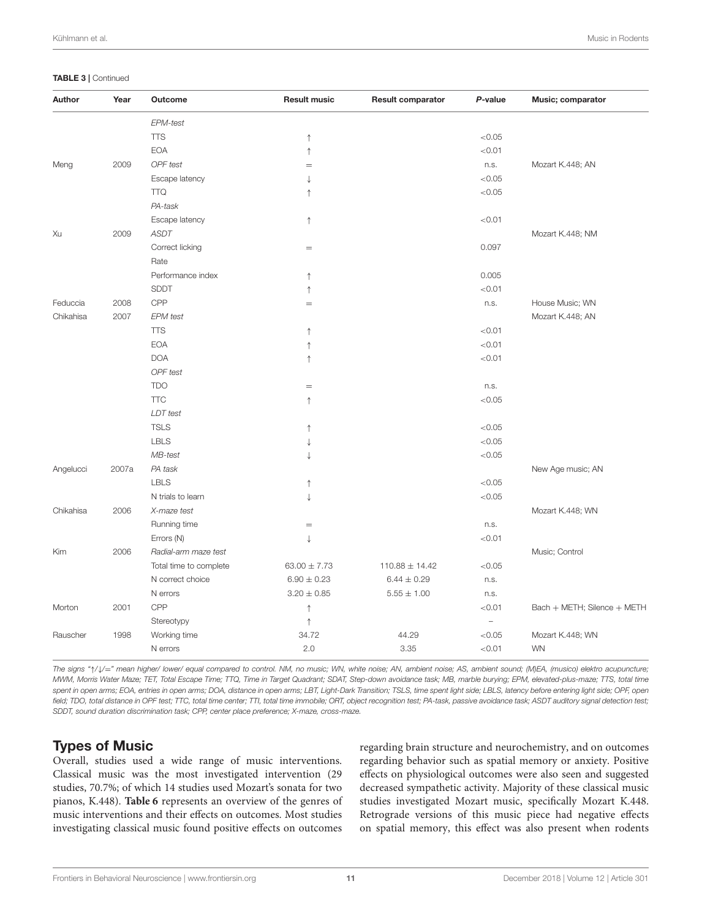#### TABLE 3 | Continued

| <b>Author</b> | Year  | Outcome                | <b>Result music</b> | <b>Result comparator</b> | P-value                  | Music; comparator           |
|---------------|-------|------------------------|---------------------|--------------------------|--------------------------|-----------------------------|
|               |       | EPM-test               |                     |                          |                          |                             |
|               |       | <b>TTS</b>             | $\uparrow$          |                          | < 0.05                   |                             |
|               |       | <b>EOA</b>             | $\uparrow$          |                          | < 0.01                   |                             |
| Meng          | 2009  | OPF test               | $=$                 |                          | n.s.                     | Mozart K.448; AN            |
|               |       | Escape latency         | $\downarrow$        |                          | < 0.05                   |                             |
|               |       | <b>TTQ</b>             | $\uparrow$          |                          | < 0.05                   |                             |
|               |       | PA-task                |                     |                          |                          |                             |
|               |       | Escape latency         | $\uparrow$          |                          | < 0.01                   |                             |
| Xu            | 2009  | ASDT                   |                     |                          |                          | Mozart K.448; NM            |
|               |       | Correct licking        | $=$                 |                          | 0.097                    |                             |
|               |       | Rate                   |                     |                          |                          |                             |
|               |       | Performance index      | $\uparrow$          |                          | 0.005                    |                             |
|               |       | <b>SDDT</b>            | $\uparrow$          |                          | < 0.01                   |                             |
| Feduccia      | 2008  | CPP                    | $=$                 |                          | n.s.                     | House Music; WN             |
| Chikahisa     | 2007  | <b>EPM</b> test        |                     |                          |                          | Mozart K.448; AN            |
|               |       | <b>TTS</b>             | $\uparrow$          |                          | < 0.01                   |                             |
|               |       | EOA                    | $\uparrow$          |                          | < 0.01                   |                             |
|               |       | <b>DOA</b>             | $\uparrow$          |                          | < 0.01                   |                             |
|               |       | OPF test               |                     |                          |                          |                             |
|               |       | <b>TDO</b>             | $=$                 |                          | n.s.                     |                             |
|               |       | <b>TTC</b>             | $\uparrow$          |                          | < 0.05                   |                             |
|               |       | LDT test               |                     |                          |                          |                             |
|               |       | <b>TSLS</b>            | $\uparrow$          |                          | < 0.05                   |                             |
|               |       | <b>LBLS</b>            | ↓                   |                          | < 0.05                   |                             |
|               |       | MB-test                | ↓                   |                          | < 0.05                   |                             |
| Angelucci     | 2007a | PA task                |                     |                          |                          | New Age music; AN           |
|               |       | <b>LBLS</b>            | $\uparrow$          |                          | < 0.05                   |                             |
|               |       | N trials to learn      | $\downarrow$        |                          | < 0.05                   |                             |
| Chikahisa     | 2006  | X-maze test            |                     |                          |                          | Mozart K.448; WN            |
|               |       | Running time           | $=$                 |                          | n.s.                     |                             |
|               |       | Errors (N)             | $\downarrow$        |                          | < 0.01                   |                             |
| Kim           | 2006  | Radial-arm maze test   |                     |                          |                          | Music; Control              |
|               |       | Total time to complete | $63.00 \pm 7.73$    | $110.88 \pm 14.42$       | < 0.05                   |                             |
|               |       | N correct choice       | $6.90 \pm 0.23$     | $6.44 \pm 0.29$          | n.s.                     |                             |
|               |       | N errors               | $3.20 \pm 0.85$     | $5.55 \pm 1.00$          | n.s.                     |                             |
| Morton        | 2001  | CPP                    | $\uparrow$          |                          | < 0.01                   | Bach + METH; Silence + METH |
|               |       | Stereotypy             | $\uparrow$          |                          | $\overline{\phantom{a}}$ |                             |
| Rauscher      | 1998  | Working time           | 34.72               | 44.29                    | < 0.05                   | Mozart K.448; WN            |
|               |       | N errors               | 2.0                 | 3.35                     | < 0.01                   | <b>WN</b>                   |

The signs "↑/↓/=" mean higher/ lower/ equal compared to control. NM, no music; WN, white noise; AN, ambient noise; AS, ambient sound; (M)EA, (musico) elektro acupuncture; MWM, Morris Water Maze; TET, Total Escape Time; TTQ, Time in Target Quadrant; SDAT, Step-down avoidance task; MB, marble burying; EPM, elevated-plus-maze; TTS, total time spent in open arms; EOA, entries in open arms; DOA, distance in open arms; LBT, Light-Dark Transition; TSLS, time spent light side; LBLS, latency before entering light side; OPF, open field; TDO, total distance in OPF test; TTC, total time center; TTI, total time immobile; ORT, object recognition test; PA-task, passive avoidance task; ASDT auditory signal detection test; SDDT, sound duration discrimination task; CPP, center place preference; X-maze, cross-maze.

# Types of Music

Overall, studies used a wide range of music interventions. Classical music was the most investigated intervention (29 studies, 70.7%; of which 14 studies used Mozart's sonata for two pianos, K.448). **[Table 6](#page-13-0)** represents an overview of the genres of music interventions and their effects on outcomes. Most studies investigating classical music found positive effects on outcomes regarding brain structure and neurochemistry, and on outcomes regarding behavior such as spatial memory or anxiety. Positive effects on physiological outcomes were also seen and suggested decreased sympathetic activity. Majority of these classical music studies investigated Mozart music, specifically Mozart K.448. Retrograde versions of this music piece had negative effects on spatial memory, this effect was also present when rodents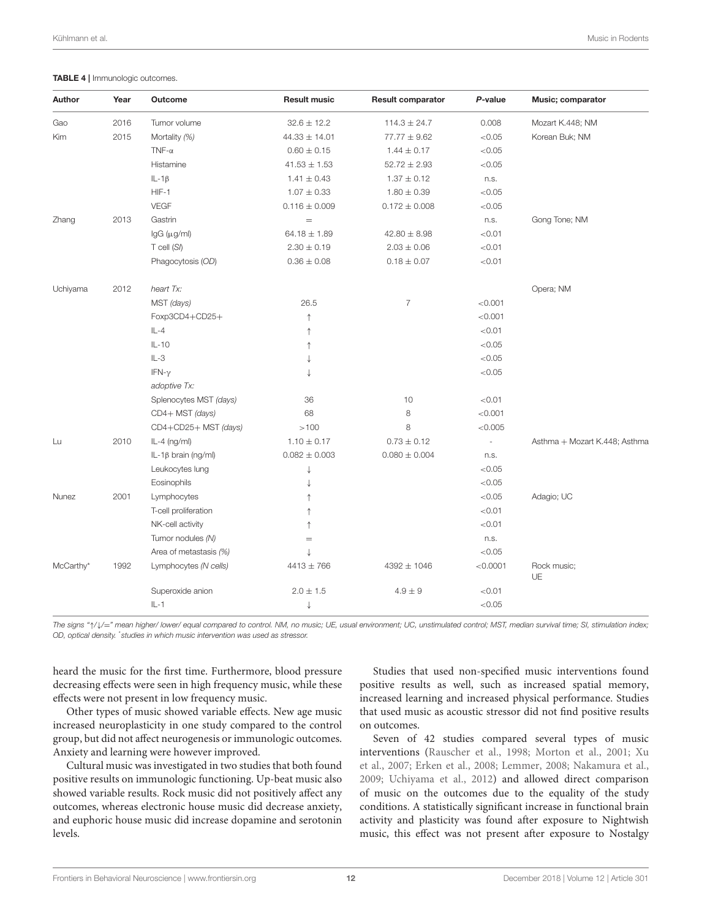#### <span id="page-11-0"></span>TABLE 4 | Immunologic outcomes.

| Author    | Year | Outcome                | <b>Result music</b> | <b>Result comparator</b> | P-value  | Music; comparator             |
|-----------|------|------------------------|---------------------|--------------------------|----------|-------------------------------|
| Gao       | 2016 | Tumor volume           | $32.6 \pm 12.2$     | $114.3 \pm 24.7$         | 0.008    | Mozart K.448; NM              |
| Kim       | 2015 | Mortality (%)          | $44.33 \pm 14.01$   | $77.77 \pm 9.62$         | < 0.05   | Korean Buk; NM                |
|           |      | TNF- $\alpha$          | $0.60 \pm 0.15$     | $1.44 \pm 0.17$          | < 0.05   |                               |
|           |      | Histamine              | $41.53 \pm 1.53$    | $52.72 \pm 2.93$         | < 0.05   |                               |
|           |      | $IL - 1\beta$          | $1.41 \pm 0.43$     | $1.37 \pm 0.12$          | n.s.     |                               |
|           |      | $HIF-1$                | $1.07 \pm 0.33$     | $1.80 \pm 0.39$          | < 0.05   |                               |
|           |      | <b>VEGF</b>            | $0.116 \pm 0.009$   | $0.172 \pm 0.008$        | < 0.05   |                               |
| Zhang     | 2013 | Gastrin                | $=$                 |                          | n.s.     | Gong Tone; NM                 |
|           |      | $lgG$ ( $\mu$ g/ml)    | $64.18 \pm 1.89$    | $42.80 \pm 8.98$         | < 0.01   |                               |
|           |      | T cell (SI)            | $2.30 \pm 0.19$     | $2.03 \pm 0.06$          | < 0.01   |                               |
|           |      | Phagocytosis (OD)      | $0.36 \pm 0.08$     | $0.18 \pm 0.07$          | < 0.01   |                               |
| Uchiyama  | 2012 | heart Tx:              |                     |                          |          | Opera; NM                     |
|           |      | MST (days)             | 26.5                | $\overline{7}$           | < 0.001  |                               |
|           |      | Foxp3CD4+CD25+         | $\uparrow$          |                          | < 0.001  |                               |
|           |      | $IL-4$                 | $\uparrow$          |                          | < 0.01   |                               |
|           |      | $IL-10$                | $\uparrow$          |                          | < 0.05   |                               |
|           |      | $IL-3$                 | $\downarrow$        |                          | < 0.05   |                               |
|           |      | IFN- $\gamma$          | $\downarrow$        |                          | < 0.05   |                               |
|           |      | adoptive Tx:           |                     |                          |          |                               |
|           |      | Splenocytes MST (days) | 36                  | 10                       | < 0.01   |                               |
|           |      | CD4+ MST (days)        | 68                  | 8                        | < 0.001  |                               |
|           |      | CD4+CD25+ MST (days)   | >100                | 8                        | < 0.005  |                               |
| Lu        | 2010 | $IL-4$ (ng/ml)         | $1.10 \pm 0.17$     | $0.73 \pm 0.12$          | $\sim$   | Asthma + Mozart K.448; Asthma |
|           |      | IL-1β brain (ng/ml)    | $0.082 \pm 0.003$   | $0.080 \pm 0.004$        | n.s.     |                               |
|           |      | Leukocytes lung        | $\downarrow$        |                          | < 0.05   |                               |
|           |      | Eosinophils            | $\downarrow$        |                          | < 0.05   |                               |
| Nunez     | 2001 | Lymphocytes            | $\uparrow$          |                          | < 0.05   | Adagio; UC                    |
|           |      | T-cell proliferation   | $\uparrow$          |                          | < 0.01   |                               |
|           |      | NK-cell activity       | $\uparrow$          |                          | < 0.01   |                               |
|           |      | Tumor nodules (N)      | $=$                 |                          | n.s.     |                               |
|           |      | Area of metastasis (%) | $\downarrow$        |                          | < 0.05   |                               |
| McCarthy* | 1992 | Lymphocytes (N cells)  | $4413 \pm 766$      | 4392 ± 1046              | < 0.0001 | Rock music;<br>UE             |
|           |      | Superoxide anion       | $2.0 \pm 1.5$       | $4.9 \pm 9$              | < 0.01   |                               |
|           |      | $IL-1$                 | $\downarrow$        |                          | < 0.05   |                               |

The signs "↑/↓/=" mean higher/ lower/ equal compared to control. NM, no music; UE, usual environment; UC, unstimulated control; MST, median survival time; SI, stimulation index; OD, optical density. \* studies in which music intervention was used as stressor.

heard the music for the first time. Furthermore, blood pressure decreasing effects were seen in high frequency music, while these effects were not present in low frequency music.

Other types of music showed variable effects. New age music increased neuroplasticity in one study compared to the control group, but did not affect neurogenesis or immunologic outcomes. Anxiety and learning were however improved.

Cultural music was investigated in two studies that both found positive results on immunologic functioning. Up-beat music also showed variable results. Rock music did not positively affect any outcomes, whereas electronic house music did decrease anxiety, and euphoric house music did increase dopamine and serotonin levels.

Studies that used non-specified music interventions found positive results as well, such as increased spatial memory, increased learning and increased physical performance. Studies that used music as acoustic stressor did not find positive results on outcomes.

Seven of 42 studies compared several types of music interventions [\(Rauscher et al., 1998;](#page-17-22) [Morton et al., 2001;](#page-17-11) Xu et al., [2007;](#page-18-0) [Erken et al., 2008;](#page-16-23) [Lemmer, 2008;](#page-17-29) [Nakamura et al.,](#page-17-28) [2009;](#page-17-28) [Uchiyama et al., 2012\)](#page-17-9) and allowed direct comparison of music on the outcomes due to the equality of the study conditions. A statistically significant increase in functional brain activity and plasticity was found after exposure to Nightwish music, this effect was not present after exposure to Nostalgy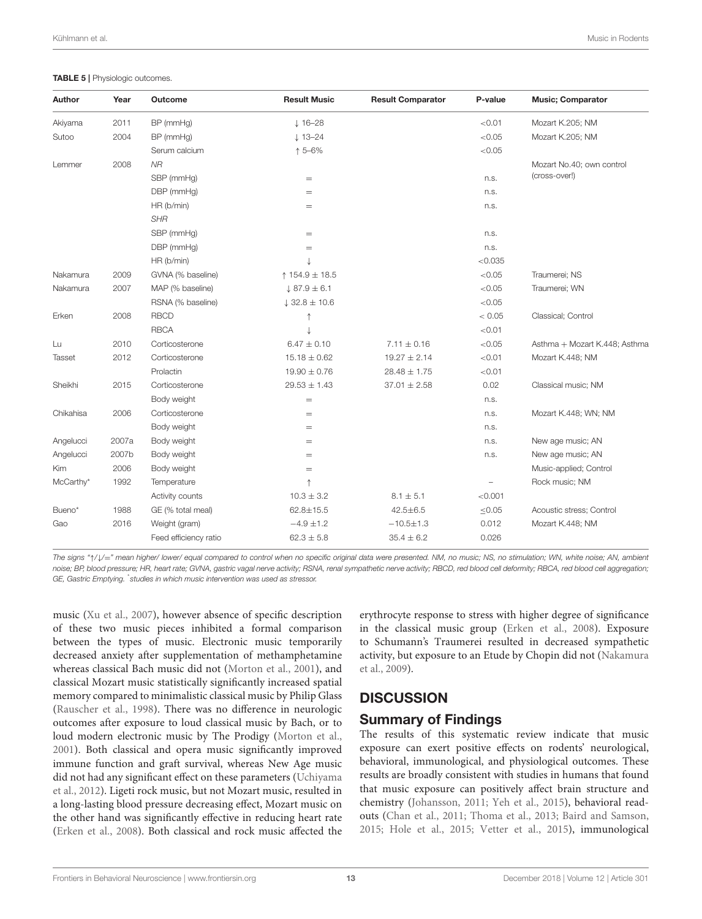#### <span id="page-12-0"></span>TABLE 5 | Physiologic outcomes.

| Author    | Year  | Outcome               | <b>Result Music</b>                 | <b>Result Comparator</b> | P-value      | <b>Music</b> ; Comparator     |
|-----------|-------|-----------------------|-------------------------------------|--------------------------|--------------|-------------------------------|
| Akiyama   | 2011  | BP (mmHg)             | $~16 - 28$                          |                          | < 0.01       | Mozart K.205; NM              |
| Sutoo     | 2004  | BP (mmHg)             | $~13 - 24$                          |                          | < 0.05       | Mozart K.205; NM              |
|           |       | Serum calcium         | $+5 - 6%$                           |                          | < 0.05       |                               |
| Lemmer    | 2008  | $\mathcal{N}R$        |                                     |                          |              | Mozart No.40; own control     |
|           |       | SBP (mmHq)            | $=$                                 |                          | n.s.         | (cross-over!)                 |
|           |       | DBP (mmHg)            | $\hspace*{0.2cm} = \hspace*{0.2cm}$ |                          | n.s.         |                               |
|           |       | HR(h/min)             | $=$                                 |                          | n.s.         |                               |
|           |       | <b>SHR</b>            |                                     |                          |              |                               |
|           |       | SBP (mmHg)            | $=$                                 |                          | n.s.         |                               |
|           |       | DBP (mmHg)            | $=$                                 |                          | n.s.         |                               |
|           |       | HR (b/min)            | ↓                                   |                          | < 0.035      |                               |
| Nakamura  | 2009  | GVNA (% baseline)     | $\uparrow$ 154.9 $\pm$ 18.5         |                          | < 0.05       | Traumerei; NS                 |
| Nakamura  | 2007  | MAP (% baseline)      | $187.9 \pm 6.1$                     |                          | < 0.05       | Traumerei; WN                 |
|           |       | RSNA (% baseline)     | $132.8 \pm 10.6$                    |                          | < 0.05       |                               |
| Erken     | 2008  | <b>RBCD</b>           | $\uparrow$                          |                          | < 0.05       | Classical; Control            |
|           |       | <b>RBCA</b>           | $\downarrow$                        |                          | < 0.01       |                               |
| Lu        | 2010  | Corticosterone        | $6.47 \pm 0.10$                     | $7.11 \pm 0.16$          | < 0.05       | Asthma + Mozart K.448; Asthma |
| Tasset    | 2012  | Corticosterone        | $15.18 \pm 0.62$                    | $19.27 \pm 2.14$         | < 0.01       | Mozart K.448; NM              |
|           |       | Prolactin             | $19.90 \pm 0.76$                    | $28.48 \pm 1.75$         | < 0.01       |                               |
| Sheikhi   | 2015  | Corticosterone        | $29.53 \pm 1.43$                    | $37.01 \pm 2.58$         | 0.02         | Classical music; NM           |
|           |       | Body weight           | $=$                                 |                          | n.s.         |                               |
| Chikahisa | 2006  | Corticosterone        | $=$                                 |                          | n.s.         | Mozart K.448; WN; NM          |
|           |       | Body weight           | $=$                                 |                          | n.s.         |                               |
| Angelucci | 2007a | Body weight           | $=$                                 |                          | n.s.         | New age music; AN             |
| Angelucci | 2007b | Body weight           | $=$                                 |                          | n.s.         | New age music; AN             |
| Kim       | 2006  | Body weight           | $=$                                 |                          |              | Music-applied; Control        |
| McCarthy* | 1992  | Temperature           | $\uparrow$                          |                          |              | Rock music; NM                |
|           |       | Activity counts       | $10.3 \pm 3.2$                      | $8.1 \pm 5.1$            | < 0.001      |                               |
| Bueno*    | 1988  | GE (% total meal)     | 62.8±15.5                           | 42.5±6.5                 | ${\leq}0.05$ | Acoustic stress; Control      |
| Gao       | 2016  | Weight (gram)         | $-4.9 \pm 1.2$                      | $-10.5 \pm 1.3$          | 0.012        | Mozart K.448; NM              |
|           |       | Feed efficiency ratio | $62.3 \pm 5.8$                      | $35.4 \pm 6.2$           | 0.026        |                               |

The signs "↑/↓/=" mean higher/ lower/ equal compared to control when no specific original data were presented. NM, no music; NS, no stimulation; WN, white noise; AN, ambient noise; BP, blood pressure; HR, heart rate; GVNA, gastric vagal nerve activity; RSNA, renal sympathetic nerve activity; RBCD, red blood cell deformity; RBCA, red blood cell aggregation; GE, Gastric Emptying. \* studies in which music intervention was used as stressor.

music [\(Xu et al., 2007\)](#page-18-0), however absence of specific description of these two music pieces inhibited a formal comparison between the types of music. Electronic music temporarily decreased anxiety after supplementation of methamphetamine whereas classical Bach music did not [\(Morton et al., 2001\)](#page-17-11), and classical Mozart music statistically significantly increased spatial memory compared to minimalistic classical music by Philip Glass [\(Rauscher et al., 1998\)](#page-17-22). There was no difference in neurologic outcomes after exposure to loud classical music by Bach, or to loud modern electronic music by The Prodigy [\(Morton et al.,](#page-17-11) [2001\)](#page-17-11). Both classical and opera music significantly improved immune function and graft survival, whereas New Age music did not had any significant effect on these parameters (Uchiyama et al., [2012\)](#page-17-9). Ligeti rock music, but not Mozart music, resulted in a long-lasting blood pressure decreasing effect, Mozart music on the other hand was significantly effective in reducing heart rate [\(Erken et al., 2008\)](#page-16-23). Both classical and rock music affected the erythrocyte response to stress with higher degree of significance in the classical music group [\(Erken et al., 2008\)](#page-16-23). Exposure to Schumann's Traumerei resulted in decreased sympathetic activity, but exposure to an Etude by Chopin did not (Nakamura et al., [2009\)](#page-17-28).

### **DISCUSSION**

### Summary of Findings

The results of this systematic review indicate that music exposure can exert positive effects on rodents' neurological, behavioral, immunological, and physiological outcomes. These results are broadly consistent with studies in humans that found that music exposure can positively affect brain structure and chemistry [\(Johansson, 2011;](#page-16-25) [Yeh et al., 2015\)](#page-18-4), behavioral readouts [\(Chan et al., 2011;](#page-16-0) [Thoma et al., 2013;](#page-17-30) [Baird and Samson,](#page-16-26) [2015;](#page-16-26) [Hole et al., 2015;](#page-16-2) [Vetter et al., 2015\)](#page-17-0), immunological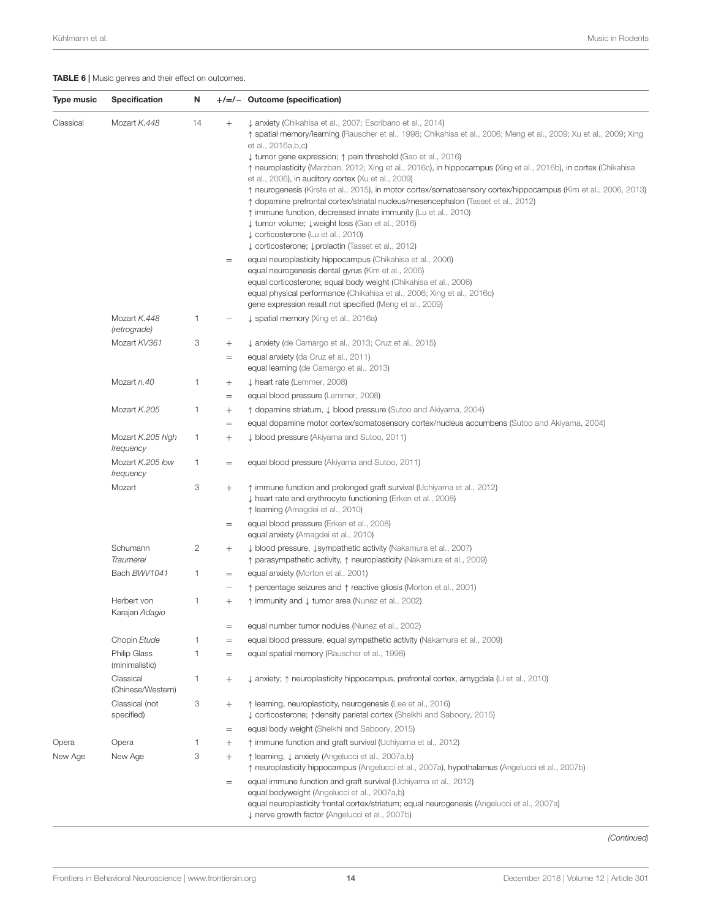<span id="page-13-0"></span>

| <b>Type music</b> | <b>Specification</b>           | N              |                          | $+/-$ Outcome (specification)                                                                                                                                                                                                                                                                                               |
|-------------------|--------------------------------|----------------|--------------------------|-----------------------------------------------------------------------------------------------------------------------------------------------------------------------------------------------------------------------------------------------------------------------------------------------------------------------------|
| Classical         | Mozart K.448                   | 14             | $^{+}$                   | ↓ anxiety (Chikahisa et al., 2007; Escribano et al., 2014)<br>t spatial memory/learning (Rauscher et al., 1998; Chikahisa et al., 2006; Meng et al., 2009; Xu et al., 2009; Xing<br>et al., 2016a,b,c)                                                                                                                      |
|                   |                                |                |                          | $\downarrow$ tumor gene expression; $\uparrow$ pain threshold (Gao et al., 2016)<br>↑ neuroplasticity (Marzban, 2012; Xing et al., 2016c), in hippocampus (Xing et al., 2016b), in cortex (Chikahisa<br>et al., 2006), in auditory cortex (Xu et al., 2009)                                                                 |
|                   |                                |                |                          | ↑ neurogenesis (Kirste et al., 2015), in motor cortex/somatosensory cortex/hippocampus (Kim et al., 2006, 2013)<br>↑ dopamine prefrontal cortex/striatal nucleus/mesencephalon (Tasset et al., 2012)<br>↑ immune function, decreased innate immunity (Lu et al., 2010)<br>↓ tumor volume; ↓weight loss (Gao et al., 2016)   |
|                   |                                |                |                          | ↓ corticosterone (Lu et al., 2010)<br>↓ corticosterone; ↓prolactin (Tasset et al., 2012)                                                                                                                                                                                                                                    |
|                   |                                |                | $=$                      | equal neuroplasticity hippocampus (Chikahisa et al., 2006)<br>equal neurogenesis dental gyrus (Kim et al., 2006)<br>equal corticosterone; equal body weight (Chikahisa et al., 2006)<br>equal physical performance (Chikahisa et al., 2006; Xing et al., 2016c)<br>gene expression result not specified (Meng et al., 2009) |
|                   | Mozart K.448<br>(retrograde)   | 1              |                          | ↓ spatial memory (Xing et al., 2016a)                                                                                                                                                                                                                                                                                       |
|                   | Mozart KV361                   | 3              | $^{+}$                   | ↓ anxiety (de Camargo et al., 2013; Cruz et al., 2015)                                                                                                                                                                                                                                                                      |
|                   |                                |                | $=$                      | equal anxiety (da Cruz et al., 2011)<br>equal learning (de Camargo et al., 2013)                                                                                                                                                                                                                                            |
|                   | Mozart n.40                    | 1              | $^{+}$                   | ↓ heart rate (Lemmer, 2008)                                                                                                                                                                                                                                                                                                 |
|                   |                                |                | $=$                      | equal blood pressure (Lemmer, 2008)                                                                                                                                                                                                                                                                                         |
|                   | Mozart K.205                   | 1              | $^{+}$                   | ↑ dopamine striatum, ↓ blood pressure (Sutoo and Akiyama, 2004)                                                                                                                                                                                                                                                             |
|                   |                                |                | $=$                      | equal dopamine motor cortex/somatosensory cortex/nucleus accumbens (Sutoo and Akiyama, 2004)                                                                                                                                                                                                                                |
|                   | Mozart K.205 high<br>frequency | $\mathbf{1}$   | $^{+}$                   | ↓ blood pressure (Akiyama and Sutoo, 2011)                                                                                                                                                                                                                                                                                  |
|                   | Mozart K.205 low<br>frequency  | 1              | $\qquad \qquad =$        | equal blood pressure (Akiyama and Sutoo, 2011)                                                                                                                                                                                                                                                                              |
|                   | Mozart                         | 3              | $^{+}$                   | ↑ immune function and prolonged graft survival (Uchiyama et al., 2012)<br>↓ heart rate and erythrocyte functioning (Erken et al., 2008)<br>↑ learning (Amagdei et al., 2010)                                                                                                                                                |
|                   |                                |                | $=$                      | equal blood pressure (Erken et al., 2008)<br>equal anxiety (Amagdei et al., 2010)                                                                                                                                                                                                                                           |
|                   | Schumann<br>Traumerei          | $\overline{c}$ | $^{+}$                   | ↓ blood pressure, ↓ sympathetic activity (Nakamura et al., 2007)<br>↑ parasympathetic activity, ↑ neuroplasticity (Nakamura et al., 2009)                                                                                                                                                                                   |
|                   | Bach BWV1041                   | 1              | $=$                      | equal anxiety (Morton et al., 2001)                                                                                                                                                                                                                                                                                         |
|                   |                                |                | $\overline{\phantom{0}}$ | ↑ percentage seizures and ↑ reactive gliosis (Morton et al., 2001)                                                                                                                                                                                                                                                          |
|                   | Herbert von<br>Karajan Adagio  | 1              | $^{+}$                   | ↑ immunity and ↓ tumor area (Nunez et al., 2002)                                                                                                                                                                                                                                                                            |
|                   |                                |                | $=$                      | equal number tumor nodules (Nunez et al., 2002)                                                                                                                                                                                                                                                                             |
|                   | Chopin Etude                   | 1              | $=$                      | equal blood pressure, equal sympathetic activity (Nakamura et al., 2009)                                                                                                                                                                                                                                                    |
|                   | Philip Glass<br>(minimalistic) | 1              | =                        | equal spatial memory (Rauscher et al., 1998)                                                                                                                                                                                                                                                                                |
|                   | Classical<br>(Chinese/Western) | 1              | $^{+}$                   | $\downarrow$ anxiety; $\uparrow$ neuroplasticity hippocampus, prefrontal cortex, amygdala (Li et al., 2010)                                                                                                                                                                                                                 |
|                   | Classical (not<br>specified)   | 3              | $^{+}$                   | ↑ learning, neuroplasticity, neurogenesis (Lee et al., 2016)<br>↓ corticosterone; ↑ density parietal cortex (Sheikhi and Saboory, 2015)                                                                                                                                                                                     |
|                   |                                |                | $=$                      | equal body weight (Sheikhi and Saboory, 2015)                                                                                                                                                                                                                                                                               |
| Opera             | Opera                          | 1              | $^{+}$                   | 1 immune function and graft survival (Uchiyama et al., 2012)                                                                                                                                                                                                                                                                |
| New Age           | New Age                        | 3              | $^{+}$                   | ↑ learning, ↓ anxiety (Angelucci et al., 2007a,b)<br>↑ neuroplasticity hippocampus (Angelucci et al., 2007a), hypothalamus (Angelucci et al., 2007b)                                                                                                                                                                        |
|                   |                                |                | $=$                      | equal immune function and graft survival (Uchiyama et al., 2012)<br>equal bodyweight (Angelucci et al., 2007a,b)<br>equal neuroplasticity frontal cortex/striatum; equal neurogenesis (Angelucci et al., 2007a)<br>↓ nerve growth factor (Angelucci et al., 2007b)                                                          |

(Continued)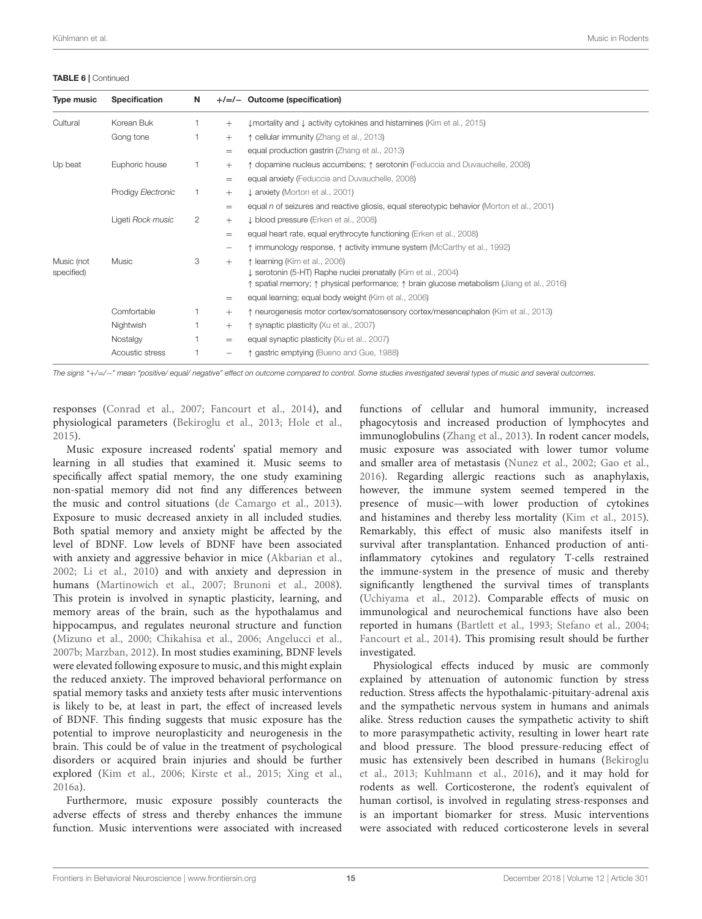TABLE 6 | Continued

| Type music | Specification      | N |                                  | $+/-$ Outcome (specification)                                                              |
|------------|--------------------|---|----------------------------------|--------------------------------------------------------------------------------------------|
|            |                    |   |                                  |                                                                                            |
| Cultural   | Korean Buk         |   | $+$                              | ↓ mortality and ↓ activity cytokines and histamines (Kim et al., 2015)                     |
|            | Gong tone          |   | $^{+}$                           | ↑ cellular immunity (Zhang et al., 2013)                                                   |
|            |                    |   | $=$                              | equal production gastrin (Zhang et al., 2013)                                              |
| Up beat    | Euphoric house     |   | $^{+}$                           | ↑ dopamine nucleus accumbens; ↑ serotonin (Feduccia and Duvauchelle, 2008)                 |
|            |                    |   | $=$                              | equal anxiety (Feduccia and Duvauchelle, 2008)                                             |
|            | Prodigy Electronic | 1 | $+$                              | $\downarrow$ anxiety (Morton et al., 2001)                                                 |
|            |                    |   | $=$                              | equal n of seizures and reactive gliosis, equal stereotypic behavior (Morton et al., 2001) |
|            | Ligeti Rock music  | 2 | $^{+}$                           | ↓ blood pressure (Erken et al., 2008)                                                      |
|            |                    |   | $=$                              | equal heart rate, equal erythrocyte functioning (Erken et al., 2008)                       |
|            |                    |   | $\overline{\phantom{m}}$         | ↑ immunology response, ↑ activity immune system (McCarthy et al., 1992)                    |
| Music (not | Music              | 3 | $^{+}$                           | ↑ learning (Kim et al., 2006)                                                              |
| specified) |                    |   |                                  | ↓ serotonin (5-HT) Raphe nuclei prenatally (Kim et al., 2004)                              |
|            |                    |   |                                  | ↑ spatial memory; ↑ physical performance; ↑ brain glucose metabolism (Jiang et al., 2016)  |
|            |                    |   | $=$                              | equal learning; equal body weight (Kim et al., 2006)                                       |
|            | Comfortable        |   | $^{+}$                           | ↑ neurogenesis motor cortex/somatosensory cortex/mesencephalon (Kim et al., 2013)          |
|            | Nightwish          |   | $^{+}$                           | ↑ synaptic plasticity (Xu et al., 2007)                                                    |
|            | Nostalgy           |   | $=$                              | equal synaptic plasticity (Xu et al., 2007)                                                |
|            | Acoustic stress    |   | $\overbrace{\phantom{12322111}}$ | ↑ gastric emptying (Bueno and Gue, 1988)                                                   |

The signs "+/=/-" mean "positive/ equal/ negative" effect on outcome compared to control. Some studies investigated several types of music and several outcomes.

responses [\(Conrad et al., 2007;](#page-16-27) [Fancourt et al., 2014\)](#page-16-4), and physiological parameters [\(Bekiroglu et al., 2013;](#page-16-28) [Hole et al.,](#page-16-2) [2015\)](#page-16-2).

Music exposure increased rodents' spatial memory and learning in all studies that examined it. Music seems to specifically affect spatial memory, the one study examining non-spatial memory did not find any differences between the music and control situations [\(de Camargo et al., 2013\)](#page-16-20). Exposure to music decreased anxiety in all included studies. Both spatial memory and anxiety might be affected by the level of BDNF. Low levels of BDNF have been associated with anxiety and aggressive behavior in mice [\(Akbarian et al.,](#page-16-29) [2002;](#page-16-29) [Li et al., 2010\)](#page-17-17) and with anxiety and depression in humans [\(Martinowich et al., 2007;](#page-17-31) [Brunoni et al., 2008\)](#page-16-30). This protein is involved in synaptic plasticity, learning, and memory areas of the brain, such as the hypothalamus and hippocampus, and regulates neuronal structure and function [\(Mizuno et al., 2000;](#page-17-32) [Chikahisa et al., 2006;](#page-16-13) [Angelucci et al.,](#page-16-15) [2007b;](#page-16-15) [Marzban, 2012\)](#page-17-18). In most studies examining, BDNF levels were elevated following exposure to music, and this might explain the reduced anxiety. The improved behavioral performance on spatial memory tasks and anxiety tests after music interventions is likely to be, at least in part, the effect of increased levels of BDNF. This finding suggests that music exposure has the potential to improve neuroplasticity and neurogenesis in the brain. This could be of value in the treatment of psychological disorders or acquired brain injuries and should be further explored [\(Kim et al., 2006;](#page-17-14) [Kirste et al., 2015;](#page-17-8) [Xing et al.,](#page-17-21) [2016a\)](#page-17-21).

Furthermore, music exposure possibly counteracts the adverse effects of stress and thereby enhances the immune function. Music interventions were associated with increased functions of cellular and humoral immunity, increased phagocytosis and increased production of lymphocytes and immunoglobulins [\(Zhang et al., 2013\)](#page-18-3). In rodent cancer models, music exposure was associated with lower tumor volume and smaller area of metastasis [\(Nunez et al., 2002;](#page-17-12) [Gao et al.,](#page-16-10) [2016\)](#page-16-10). Regarding allergic reactions such as anaphylaxis, however, the immune system seemed tempered in the presence of music—with lower production of cytokines and histamines and thereby less mortality [\(Kim et al., 2015\)](#page-17-26). Remarkably, this effect of music also manifests itself in survival after transplantation. Enhanced production of antiinflammatory cytokines and regulatory T-cells restrained the immune-system in the presence of music and thereby significantly lengthened the survival times of transplants [\(Uchiyama et al., 2012\)](#page-17-9). Comparable effects of music on immunological and neurochemical functions have also been reported in humans [\(Bartlett et al., 1993;](#page-16-31) [Stefano et al., 2004;](#page-17-33) [Fancourt et al., 2014\)](#page-16-4). This promising result should be further investigated.

Physiological effects induced by music are commonly explained by attenuation of autonomic function by stress reduction. Stress affects the hypothalamic-pituitary-adrenal axis and the sympathetic nervous system in humans and animals alike. Stress reduction causes the sympathetic activity to shift to more parasympathetic activity, resulting in lower heart rate and blood pressure. The blood pressure-reducing effect of music has extensively been described in humans (Bekiroglu et al., [2013;](#page-16-28) [Kuhlmann et al., 2016\)](#page-17-2), and it may hold for rodents as well. Corticosterone, the rodent's equivalent of human cortisol, is involved in regulating stress-responses and is an important biomarker for stress. Music interventions were associated with reduced corticosterone levels in several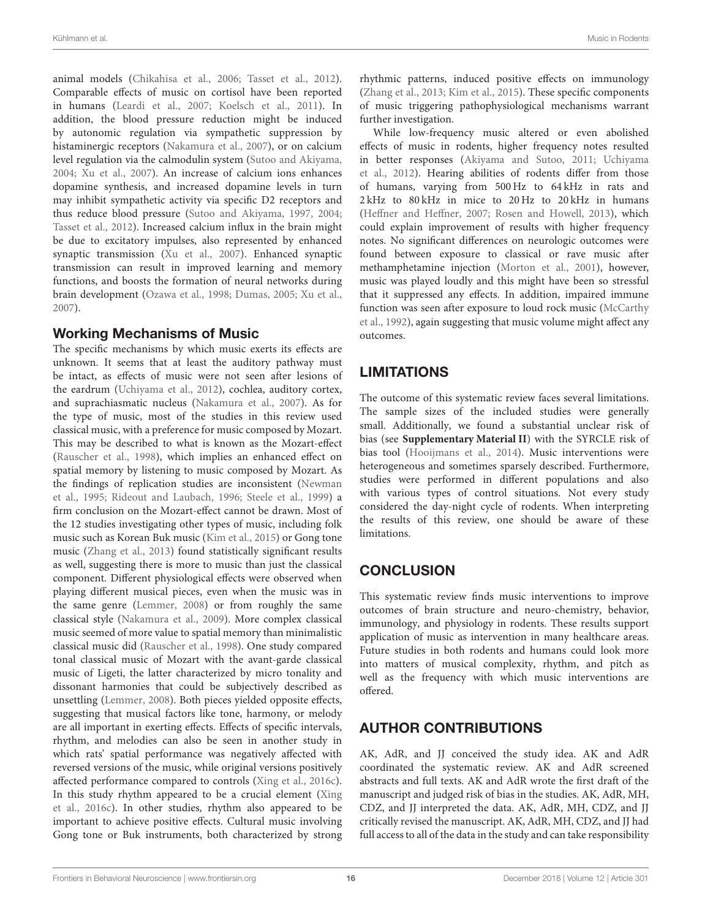animal models [\(Chikahisa et al., 2006;](#page-16-13) [Tasset et al., 2012\)](#page-17-6). Comparable effects of music on cortisol have been reported in humans [\(Leardi et al., 2007;](#page-17-34) [Koelsch et al., 2011\)](#page-17-35). In addition, the blood pressure reduction might be induced by autonomic regulation via sympathetic suppression by histaminergic receptors [\(Nakamura et al., 2007\)](#page-17-27), or on calcium level regulation via the calmodulin system [\(Sutoo and Akiyama,](#page-17-5) [2004;](#page-17-5) [Xu et al., 2007\)](#page-18-0). An increase of calcium ions enhances dopamine synthesis, and increased dopamine levels in turn may inhibit sympathetic activity via specific D2 receptors and thus reduce blood pressure [\(Sutoo and Akiyama, 1997,](#page-17-36) [2004;](#page-17-5) [Tasset et al., 2012\)](#page-17-6). Increased calcium influx in the brain might be due to excitatory impulses, also represented by enhanced synaptic transmission [\(Xu et al., 2007\)](#page-18-0). Enhanced synaptic transmission can result in improved learning and memory functions, and boosts the formation of neural networks during brain development [\(Ozawa et al., 1998;](#page-17-37) [Dumas, 2005;](#page-16-32) [Xu et al.,](#page-18-0) [2007\)](#page-18-0).

# Working Mechanisms of Music

The specific mechanisms by which music exerts its effects are unknown. It seems that at least the auditory pathway must be intact, as effects of music were not seen after lesions of the eardrum [\(Uchiyama et al., 2012\)](#page-17-9), cochlea, auditory cortex, and suprachiasmatic nucleus [\(Nakamura et al., 2007\)](#page-17-27). As for the type of music, most of the studies in this review used classical music, with a preference for music composed by Mozart. This may be described to what is known as the Mozart-effect [\(Rauscher et al., 1998\)](#page-17-22), which implies an enhanced effect on spatial memory by listening to music composed by Mozart. As the findings of replication studies are inconsistent (Newman et al., [1995;](#page-17-38) [Rideout and Laubach, 1996;](#page-17-39) [Steele et al., 1999\)](#page-17-40) a firm conclusion on the Mozart-effect cannot be drawn. Most of the 12 studies investigating other types of music, including folk music such as Korean Buk music [\(Kim et al., 2015\)](#page-17-26) or Gong tone music [\(Zhang et al., 2013\)](#page-18-3) found statistically significant results as well, suggesting there is more to music than just the classical component. Different physiological effects were observed when playing different musical pieces, even when the music was in the same genre [\(Lemmer, 2008\)](#page-17-29) or from roughly the same classical style [\(Nakamura et al., 2009\)](#page-17-28). More complex classical music seemed of more value to spatial memory than minimalistic classical music did [\(Rauscher et al., 1998\)](#page-17-22). One study compared tonal classical music of Mozart with the avant-garde classical music of Ligeti, the latter characterized by micro tonality and dissonant harmonies that could be subjectively described as unsettling [\(Lemmer, 2008\)](#page-17-29). Both pieces yielded opposite effects, suggesting that musical factors like tone, harmony, or melody are all important in exerting effects. Effects of specific intervals, rhythm, and melodies can also be seen in another study in which rats' spatial performance was negatively affected with reversed versions of the music, while original versions positively affected performance compared to controls [\(Xing et al., 2016c\)](#page-17-7). In this study rhythm appeared to be a crucial element (Xing et al., [2016c\)](#page-17-7). In other studies, rhythm also appeared to be important to achieve positive effects. Cultural music involving Gong tone or Buk instruments, both characterized by strong rhythmic patterns, induced positive effects on immunology [\(Zhang et al., 2013;](#page-18-3) [Kim et al., 2015\)](#page-17-26). These specific components of music triggering pathophysiological mechanisms warrant further investigation.

While low-frequency music altered or even abolished effects of music in rodents, higher frequency notes resulted in better responses [\(Akiyama and Sutoo, 2011;](#page-16-24) Uchiyama et al., [2012\)](#page-17-9). Hearing abilities of rodents differ from those of humans, varying from 500 Hz to 64 kHz in rats and 2 kHz to 80 kHz in mice to 20 Hz to 20 kHz in humans [\(Heffner and Heffner, 2007;](#page-16-33) [Rosen and Howell, 2013\)](#page-17-41), which could explain improvement of results with higher frequency notes. No significant differences on neurologic outcomes were found between exposure to classical or rave music after methamphetamine injection [\(Morton et al., 2001\)](#page-17-11), however, music was played loudly and this might have been so stressful that it suppressed any effects. In addition, impaired immune function was seen after exposure to loud rock music (McCarthy et al., [1992\)](#page-17-24), again suggesting that music volume might affect any outcomes.

# LIMITATIONS

The outcome of this systematic review faces several limitations. The sample sizes of the included studies were generally small. Additionally, we found a substantial unclear risk of bias (see **[Supplementary Material II](#page-16-11)**) with the SYRCLE risk of bias tool [\(Hooijmans et al., 2014\)](#page-16-12). Music interventions were heterogeneous and sometimes sparsely described. Furthermore, studies were performed in different populations and also with various types of control situations. Not every study considered the day-night cycle of rodents. When interpreting the results of this review, one should be aware of these limitations.

# **CONCLUSION**

This systematic review finds music interventions to improve outcomes of brain structure and neuro-chemistry, behavior, immunology, and physiology in rodents. These results support application of music as intervention in many healthcare areas. Future studies in both rodents and humans could look more into matters of musical complexity, rhythm, and pitch as well as the frequency with which music interventions are offered.

# AUTHOR CONTRIBUTIONS

AK, AdR, and JJ conceived the study idea. AK and AdR coordinated the systematic review. AK and AdR screened abstracts and full texts. AK and AdR wrote the first draft of the manuscript and judged risk of bias in the studies. AK, AdR, MH, CDZ, and JJ interpreted the data. AK, AdR, MH, CDZ, and JJ critically revised the manuscript. AK, AdR, MH, CDZ, and JJ had full access to all of the data in the study and can take responsibility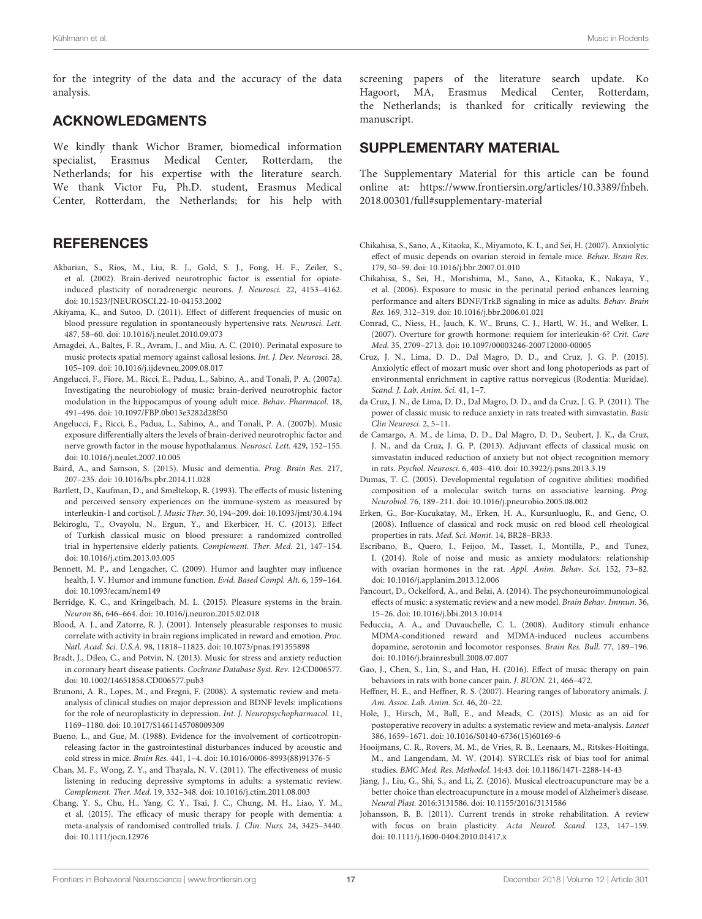for the integrity of the data and the accuracy of the data analysis.

### ACKNOWLEDGMENTS

We kindly thank Wichor Bramer, biomedical information specialist, Erasmus Medical Center, Rotterdam, the Netherlands; for his expertise with the literature search. We thank Victor Fu, Ph.D. student, Erasmus Medical Center, Rotterdam, the Netherlands; for his help with

### **REFERENCES**

- <span id="page-16-29"></span>Akbarian, S., Rios, M., Liu, R. J., Gold, S. J., Fong, H. F., Zeiler, S., et al. (2002). Brain-derived neurotrophic factor is essential for opiateinduced plasticity of noradrenergic neurons. J. Neurosci. 22, 4153–4162. doi: [10.1523/JNEUROSCI.22-10-04153.2002](https://doi.org/10.1523/JNEUROSCI.22-10-04153.2002)
- <span id="page-16-24"></span>Akiyama, K., and Sutoo, D. (2011). Effect of different frequencies of music on blood pressure regulation in spontaneously hypertensive rats. Neurosci. Lett. 487, 58–60. doi: [10.1016/j.neulet.2010.09.073](https://doi.org/10.1016/j.neulet.2010.09.073)
- <span id="page-16-18"></span>Amagdei, A., Baltes, F. R., Avram, J., and Miu, A. C. (2010). Perinatal exposure to music protects spatial memory against callosal lesions. Int. J. Dev. Neurosci. 28, 105–109. doi: [10.1016/j.ijdevneu.2009.08.017](https://doi.org/10.1016/j.ijdevneu.2009.08.017)
- <span id="page-16-14"></span>Angelucci, F., Fiore, M., Ricci, E., Padua, L., Sabino, A., and Tonali, P. A. (2007a). Investigating the neurobiology of music: brain-derived neurotrophic factor modulation in the hippocampus of young adult mice. Behav. Pharmacol. 18, 491–496. doi: [10.1097/FBP.0b013e3282d28f50](https://doi.org/10.1097/FBP.0b013e3282d28f50)
- <span id="page-16-15"></span>Angelucci, F., Ricci, E., Padua, L., Sabino, A., and Tonali, P. A. (2007b). Music exposure differentially alters the levels of brain-derived neurotrophic factor and nerve growth factor in the mouse hypothalamus. Neurosci. Lett. 429, 152–155. doi: [10.1016/j.neulet.2007.10.005](https://doi.org/10.1016/j.neulet.2007.10.005)
- <span id="page-16-26"></span>Baird, A., and Samson, S. (2015). Music and dementia. Prog. Brain Res. 217, 207–235. doi: [10.1016/bs.pbr.2014.11.028](https://doi.org/10.1016/bs.pbr.2014.11.028)
- <span id="page-16-31"></span>Bartlett, D., Kaufman, D., and Smeltekop, R. (1993). The effects of music listening and perceived sensory experiences on the immune-system as measured by interleukin-1 and cortisol. J. Music Ther. 30, 194–209. doi: [10.1093/jmt/30.4.194](https://doi.org/10.1093/jmt/30.4.194)
- <span id="page-16-28"></span>Bekiroglu, T., Ovayolu, N., Ergun, Y., and Ekerbicer, H. C. (2013). Effect of Turkish classical music on blood pressure: a randomized controlled trial in hypertensive elderly patients. Complement. Ther. Med. 21, 147–154. doi: [10.1016/j.ctim.2013.03.005](https://doi.org/10.1016/j.ctim.2013.03.005)
- <span id="page-16-5"></span>Bennett, M. P., and Lengacher, C. (2009). Humor and laughter may influence health, I. V. Humor and immune function. Evid. Based Compl. Alt. 6, 159–164. doi: [10.1093/ecam/nem149](https://doi.org/10.1093/ecam/nem149)
- <span id="page-16-7"></span>Berridge, K. C., and Kringelbach, M. L. (2015). Pleasure systems in the brain. Neuron 86, 646–664. doi: [10.1016/j.neuron.2015.02.018](https://doi.org/10.1016/j.neuron.2015.02.018)
- <span id="page-16-6"></span>Blood, A. J., and Zatorre, R. J. (2001). Intensely pleasurable responses to music correlate with activity in brain regions implicated in reward and emotion. Proc. Natl. Acad. Sci. U.S.A. 98, 11818–11823. doi: [10.1073/pnas.191355898](https://doi.org/10.1073/pnas.191355898)
- <span id="page-16-3"></span>Bradt, J., Dileo, C., and Potvin, N. (2013). Music for stress and anxiety reduction in coronary heart disease patients. Cochrane Database Syst. Rev. 12:CD006577. doi: [10.1002/14651858.CD006577.pub3](https://doi.org/10.1002/14651858.CD006577.pub3)
- <span id="page-16-30"></span>Brunoni, A. R., Lopes, M., and Fregni, F. (2008). A systematic review and metaanalysis of clinical studies on major depression and BDNF levels: implications for the role of neuroplasticity in depression. Int. J. Neuropsychopharmacol. 11, 1169–1180. doi: [10.1017/S1461145708009309](https://doi.org/10.1017/S1461145708009309)
- <span id="page-16-22"></span>Bueno, L., and Gue, M. (1988). Evidence for the involvement of corticotropinreleasing factor in the gastrointestinal disturbances induced by acoustic and cold stress in mice. Brain Res. 441, 1–4. doi: [10.1016/0006-8993\(88\)91376-5](https://doi.org/10.1016/0006-8993(88)91376-5)
- <span id="page-16-0"></span>Chan, M. F., Wong, Z. Y., and Thayala, N. V. (2011). The effectiveness of music listening in reducing depressive symptoms in adults: a systematic review. Complement. Ther. Med. 19, 332–348. doi: [10.1016/j.ctim.2011.08.003](https://doi.org/10.1016/j.ctim.2011.08.003)
- <span id="page-16-1"></span>Chang, Y. S., Chu, H., Yang, C. Y., Tsai, J. C., Chung, M. H., Liao, Y. M., et al. (2015). The efficacy of music therapy for people with dementia: a meta-analysis of randomised controlled trials. J. Clin. Nurs. 24, 3425–3440. doi: [10.1111/jocn.12976](https://doi.org/10.1111/jocn.12976)

screening papers of the literature search update. Ko Hagoort, MA, Erasmus Medical Center, Rotterdam, the Netherlands; is thanked for critically reviewing the manuscript.

### SUPPLEMENTARY MATERIAL

<span id="page-16-11"></span>The Supplementary Material for this article can be found [online at: https://www.frontiersin.org/articles/10.3389/fnbeh.](https://www.frontiersin.org/articles/10.3389/fnbeh.2018.00301/full#supplementary-material) 2018.00301/full#supplementary-material

- <span id="page-16-17"></span>Chikahisa, S., Sano, A., Kitaoka, K., Miyamoto, K. I., and Sei, H. (2007). Anxiolytic effect of music depends on ovarian steroid in female mice. Behav. Brain Res. 179, 50–59. doi: [10.1016/j.bbr.2007.01.010](https://doi.org/10.1016/j.bbr.2007.01.010)
- <span id="page-16-13"></span>Chikahisa, S., Sei, H., Morishima, M., Sano, A., Kitaoka, K., Nakaya, Y., et al. (2006). Exposure to music in the perinatal period enhances learning performance and alters BDNF/TrkB signaling in mice as adults. Behav. Brain Res. 169, 312–319. doi: [10.1016/j.bbr.2006.01.021](https://doi.org/10.1016/j.bbr.2006.01.021)
- <span id="page-16-27"></span>Conrad, C., Niess, H., Jauch, K. W., Bruns, C. J., Hartl, W. H., and Welker, L. (2007). Overture for growth hormone: requiem for interleukin-6? Crit. Care Med. 35, 2709–2713. doi: [10.1097/00003246-200712000-00005](https://doi.org/10.1097/00003246-200712000-00005)
- <span id="page-16-21"></span>Cruz, J. N., Lima, D. D., Dal Magro, D. D., and Cruz, J. G. P. (2015). Anxiolytic effect of mozart music over short and long photoperiods as part of environmental enrichment in captive rattus norvegicus (Rodentia: Muridae). Scand. J. Lab. Anim. Sci. 41, 1–7.
- <span id="page-16-19"></span>da Cruz, J. N., de Lima, D. D., Dal Magro, D. D., and da Cruz, J. G. P. (2011). The power of classic music to reduce anxiety in rats treated with simvastatin. Basic Clin Neurosci. 2, 5–11.
- <span id="page-16-20"></span>de Camargo, A. M., de Lima, D. D., Dal Magro, D. D., Seubert, J. K., da Cruz, J. N., and da Cruz, J. G. P. (2013). Adjuvant effects of classical music on simvastatin induced reduction of anxiety but not object recognition memory in rats. Psychol. Neurosci. 6, 403–410. doi: [10.3922/j.psns.2013.3.19](https://doi.org/10.3922/j.psns.2013.3.19)
- <span id="page-16-32"></span>Dumas, T. C. (2005). Developmental regulation of cognitive abilities: modified composition of a molecular switch turns on associative learning. Prog. Neurobiol. 76, 189–211. doi: [10.1016/j.pneurobio.2005.08.002](https://doi.org/10.1016/j.pneurobio.2005.08.002)
- <span id="page-16-23"></span>Erken, G., Bor-Kucukatay, M., Erken, H. A., Kursunluoglu, R., and Genc, O. (2008). Influence of classical and rock music on red blood cell rheological properties in rats. Med. Sci. Monit. 14, BR28–BR33.
- <span id="page-16-9"></span>Escribano, B., Quero, I., Feijoo, M., Tasset, I., Montilla, P., and Tunez, I. (2014). Role of noise and music as anxiety modulators: relationship with ovarian hormones in the rat. Appl. Anim. Behav. Sci. 152, 73–82. doi: [10.1016/j.applanim.2013.12.006](https://doi.org/10.1016/j.applanim.2013.12.006)
- <span id="page-16-4"></span>Fancourt, D., Ockelford, A., and Belai, A. (2014). The psychoneuroimmunological effects of music: a systematic review and a new model. Brain Behav. Immun. 36, 15–26. doi: [10.1016/j.bbi.2013.10.014](https://doi.org/10.1016/j.bbi.2013.10.014)
- <span id="page-16-8"></span>Feduccia, A. A., and Duvauchelle, C. L. (2008). Auditory stimuli enhance MDMA-conditioned reward and MDMA-induced nucleus accumbens dopamine, serotonin and locomotor responses. Brain Res. Bull. 77, 189–196. doi: [10.1016/j.brainresbull.2008.07.007](https://doi.org/10.1016/j.brainresbull.2008.07.007)
- <span id="page-16-10"></span>Gao, J., Chen, S., Lin, S., and Han, H. (2016). Effect of music therapy on pain behaviors in rats with bone cancer pain. J. BUON. 21, 466–472.
- <span id="page-16-33"></span>Heffner, H. E., and Heffner, R. S. (2007). Hearing ranges of laboratory animals. J. Am. Assoc. Lab. Anim. Sci. 46, 20–22.
- <span id="page-16-2"></span>Hole, J., Hirsch, M., Ball, E., and Meads, C. (2015). Music as an aid for postoperative recovery in adults: a systematic review and meta-analysis. Lancet 386, 1659–1671. doi: [10.1016/S0140-6736\(15\)60169-6](https://doi.org/10.1016/S0140-6736(15)60169-6)
- <span id="page-16-12"></span>Hooijmans, C. R., Rovers, M. M., de Vries, R. B., Leenaars, M., Ritskes-Hoitinga, M., and Langendam, M. W. (2014). SYRCLE's risk of bias tool for animal studies. BMC Med. Res. Methodol. 14:43. doi: [10.1186/1471-2288-14-43](https://doi.org/10.1186/1471-2288-14-43)
- <span id="page-16-16"></span>Jiang, J., Liu, G., Shi, S., and Li, Z. (2016). Musical electroacupuncture may be a better choice than electroacupuncture in a mouse model of Alzheimer's disease. Neural Plast. 2016:3131586. doi: [10.1155/2016/3131586](https://doi.org/10.1155/2016/3131586)
- <span id="page-16-25"></span>Johansson, B. B. (2011). Current trends in stroke rehabilitation. A review with focus on brain plasticity. Acta Neurol. Scand. 123, 147–159. doi: [10.1111/j.1600-0404.2010.01417.x](https://doi.org/10.1111/j.1600-0404.2010.01417.x)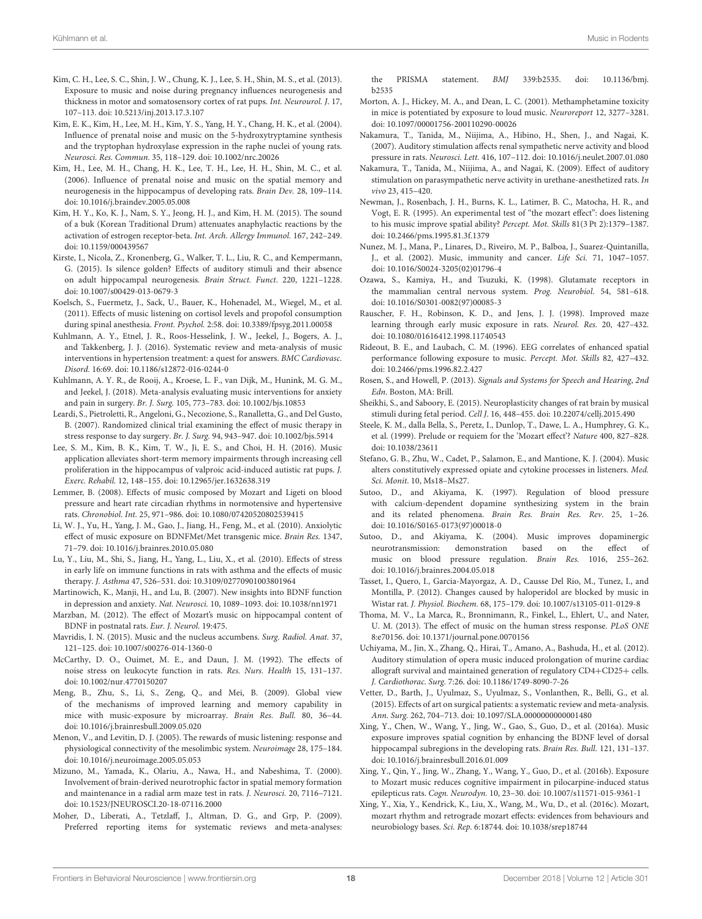- <span id="page-17-15"></span>Kim, C. H., Lee, S. C., Shin, J. W., Chung, K. J., Lee, S. H., Shin, M. S., et al. (2013). Exposure to music and noise during pregnancy influences neurogenesis and thickness in motor and somatosensory cortex of rat pups. Int. Neurourol. J. 17, 107–113. doi: [10.5213/inj.2013.17.3.107](https://doi.org/10.5213/inj.2013.17.3.107)
- <span id="page-17-13"></span>Kim, E. K., Kim, H., Lee, M. H., Kim, Y. S., Yang, H. Y., Chang, H. K., et al. (2004). Influence of prenatal noise and music on the 5-hydroxytryptamine synthesis and the tryptophan hydroxylase expression in the raphe nuclei of young rats. Neurosci. Res. Commun. 35, 118–129. doi: [10.1002/nrc.20026](https://doi.org/10.1002/nrc.20026)
- <span id="page-17-14"></span>Kim, H., Lee, M. H., Chang, H. K., Lee, T. H., Lee, H. H., Shin, M. C., et al. (2006). Influence of prenatal noise and music on the spatial memory and neurogenesis in the hippocampus of developing rats. Brain Dev. 28, 109–114. doi: [10.1016/j.braindev.2005.05.008](https://doi.org/10.1016/j.braindev.2005.05.008)
- <span id="page-17-26"></span>Kim, H. Y., Ko, K. J., Nam, S. Y., Jeong, H. J., and Kim, H. M. (2015). The sound of a buk (Korean Traditional Drum) attenuates anaphylactic reactions by the activation of estrogen receptor-beta. Int. Arch. Allergy Immunol. 167, 242–249. doi: [10.1159/000439567](https://doi.org/10.1159/000439567)
- <span id="page-17-8"></span>Kirste, I., Nicola, Z., Kronenberg, G., Walker, T. L., Liu, R. C., and Kempermann, G. (2015). Is silence golden? Effects of auditory stimuli and their absence on adult hippocampal neurogenesis. Brain Struct. Funct. 220, 1221–1228. doi: [10.1007/s00429-013-0679-3](https://doi.org/10.1007/s00429-013-0679-3)
- <span id="page-17-35"></span>Koelsch, S., Fuermetz, J., Sack, U., Bauer, K., Hohenadel, M., Wiegel, M., et al. (2011). Effects of music listening on cortisol levels and propofol consumption during spinal anesthesia. Front. Psychol. 2:58. doi: [10.3389/fpsyg.2011.00058](https://doi.org/10.3389/fpsyg.2011.00058)
- <span id="page-17-2"></span>Kuhlmann, A. Y., Etnel, J. R., Roos-Hesselink, J. W., Jeekel, J., Bogers, A. J., and Takkenberg, J. J. (2016). Systematic review and meta-analysis of music interventions in hypertension treatment: a quest for answers. BMC Cardiovasc. Disord. 16:69. doi: [10.1186/s12872-016-0244-0](https://doi.org/10.1186/s12872-016-0244-0)
- <span id="page-17-1"></span>Kuhlmann, A. Y. R., de Rooij, A., Kroese, L. F., van Dijk, M., Hunink, M. G. M., and Jeekel, J. (2018). Meta-analysis evaluating music interventions for anxiety and pain in surgery. Br. J. Surg. 105, 773–783. doi: [10.1002/bjs.10853](https://doi.org/10.1002/bjs.10853)
- <span id="page-17-34"></span>Leardi, S., Pietroletti, R., Angeloni, G., Necozione, S., Ranalletta, G., and Del Gusto, B. (2007). Randomized clinical trial examining the effect of music therapy in stress response to day surgery. Br. J. Surg. 94, 943–947. doi: [10.1002/bjs.5914](https://doi.org/10.1002/bjs.5914)
- <span id="page-17-20"></span>Lee, S. M., Kim, B. K., Kim, T. W., Ji, E. S., and Choi, H. H. (2016). Music application alleviates short-term memory impairments through increasing cell proliferation in the hippocampus of valproic acid-induced autistic rat pups. J. Exerc. Rehabil. 12, 148–155. doi: [10.12965/jer.1632638.319](https://doi.org/10.12965/jer.1632638.319)
- <span id="page-17-29"></span>Lemmer, B. (2008). Effects of music composed by Mozart and Ligeti on blood pressure and heart rate circadian rhythms in normotensive and hypertensive rats. Chronobiol. Int. 25, 971–986. doi: [10.1080/07420520802539415](https://doi.org/10.1080/07420520802539415)
- <span id="page-17-17"></span>Li, W. J., Yu, H., Yang, J. M., Gao, J., Jiang, H., Feng, M., et al. (2010). Anxiolytic effect of music exposure on BDNFMet/Met transgenic mice. Brain Res. 1347, 71–79. doi: [10.1016/j.brainres.2010.05.080](https://doi.org/10.1016/j.brainres.2010.05.080)
- <span id="page-17-25"></span>Lu, Y., Liu, M., Shi, S., Jiang, H., Yang, L., Liu, X., et al. (2010). Effects of stress in early life on immune functions in rats with asthma and the effects of music therapy. J. Asthma 47, 526–531. doi: [10.3109/02770901003801964](https://doi.org/10.3109/02770901003801964)
- <span id="page-17-31"></span>Martinowich, K., Manji, H., and Lu, B. (2007). New insights into BDNF function in depression and anxiety. Nat. Neurosci. 10, 1089–1093. doi: [10.1038/nn1971](https://doi.org/10.1038/nn1971)
- <span id="page-17-18"></span>Marzban, M. (2012). The effect of Mozart's music on hippocampal content of BDNF in postnatal rats. Eur. J. Neurol. 19:475.
- <span id="page-17-3"></span>Mavridis, I. N. (2015). Music and the nucleus accumbens. Surg. Radiol. Anat. 37, 121–125. doi: [10.1007/s00276-014-1360-0](https://doi.org/10.1007/s00276-014-1360-0)
- <span id="page-17-24"></span>McCarthy, D. O., Ouimet, M. E., and Daun, J. M. (1992). The effects of noise stress on leukocyte function in rats. Res. Nurs. Health 15, 131–137. doi: [10.1002/nur.4770150207](https://doi.org/10.1002/nur.4770150207)
- <span id="page-17-16"></span>Meng, B., Zhu, S., Li, S., Zeng, Q., and Mei, B. (2009). Global view of the mechanisms of improved learning and memory capability in mice with music-exposure by microarray. Brain Res. Bull. 80, 36–44. doi: [10.1016/j.brainresbull.2009.05.020](https://doi.org/10.1016/j.brainresbull.2009.05.020)
- <span id="page-17-4"></span>Menon, V., and Levitin, D. J. (2005). The rewards of music listening: response and physiological connectivity of the mesolimbic system. Neuroimage 28, 175–184. doi: [10.1016/j.neuroimage.2005.05.053](https://doi.org/10.1016/j.neuroimage.2005.05.053)
- <span id="page-17-32"></span>Mizuno, M., Yamada, K., Olariu, A., Nawa, H., and Nabeshima, T. (2000). Involvement of brain-derived neurotrophic factor in spatial memory formation and maintenance in a radial arm maze test in rats. J. Neurosci. 20, 7116–7121. doi: [10.1523/JNEUROSCI.20-18-07116.2000](https://doi.org/10.1523/JNEUROSCI.20-18-07116.2000)
- <span id="page-17-10"></span>Moher, D., Liberati, A., Tetzlaff, J., Altman, D. G., and Grp, P. (2009). Preferred reporting items for systematic reviews and meta-analyses:

the PRISMA statement. BMJ [339:b2535. doi: 10.1136/bmj.](https://doi.org/10.1136/bmj.b2535) b2535

- <span id="page-17-11"></span>Morton, A. J., Hickey, M. A., and Dean, L. C. (2001). Methamphetamine toxicity in mice is potentiated by exposure to loud music. Neuroreport 12, 3277–3281. doi: [10.1097/00001756-200110290-00026](https://doi.org/10.1097/00001756-200110290-00026)
- <span id="page-17-27"></span>Nakamura, T., Tanida, M., Niijima, A., Hibino, H., Shen, J., and Nagai, K. (2007). Auditory stimulation affects renal sympathetic nerve activity and blood pressure in rats. Neurosci. Lett. 416, 107–112. doi: [10.1016/j.neulet.2007.01.080](https://doi.org/10.1016/j.neulet.2007.01.080)
- <span id="page-17-28"></span>Nakamura, T., Tanida, M., Niijima, A., and Nagai, K. (2009). Effect of auditory stimulation on parasympathetic nerve activity in urethane-anesthetized rats. In vivo 23, 415–420.
- <span id="page-17-38"></span>Newman, J., Rosenbach, J. H., Burns, K. L., Latimer, B. C., Matocha, H. R., and Vogt, E. R. (1995). An experimental test of "the mozart effect": does listening to his music improve spatial ability? Percept. Mot. Skills 81(3 Pt 2):1379–1387. doi: [10.2466/pms.1995.81.3f.1379](https://doi.org/10.2466/pms.1995.81.3f.1379)
- <span id="page-17-12"></span>Nunez, M. J., Mana, P., Linares, D., Riveiro, M. P., Balboa, J., Suarez-Quintanilla, J., et al. (2002). Music, immunity and cancer. Life Sci. 71, 1047–1057. doi: [10.1016/S0024-3205\(02\)01796-4](https://doi.org/10.1016/S0024-3205(02)01796-4)
- <span id="page-17-37"></span>Ozawa, S., Kamiya, H., and Tsuzuki, K. (1998). Glutamate receptors in the mammalian central nervous system. Prog. Neurobiol. 54, 581–618. doi: [10.1016/S0301-0082\(97\)00085-3](https://doi.org/10.1016/S0301-0082(97)00085-3)
- <span id="page-17-22"></span>Rauscher, F. H., Robinson, K. D., and Jens, J. J. (1998). Improved maze learning through early music exposure in rats. Neurol. Res. 20, 427–432. doi: [10.1080/01616412.1998.11740543](https://doi.org/10.1080/01616412.1998.11740543)
- <span id="page-17-39"></span>Rideout, B. E., and Laubach, C. M. (1996). EEG correlates of enhanced spatial performance following exposure to music. Percept. Mot. Skills 82, 427–432. doi: [10.2466/pms.1996.82.2.427](https://doi.org/10.2466/pms.1996.82.2.427)
- <span id="page-17-41"></span>Rosen, S., and Howell, P. (2013). Signals and Systems for Speech and Hearing, 2nd Edn. Boston, MA: Brill.
- <span id="page-17-19"></span>Sheikhi, S., and Saboory, E. (2015). Neuroplasticity changes of rat brain by musical stimuli during fetal period. Cell J. 16, 448–455. doi: [10.22074/cellj.2015.490](https://doi.org/10.22074/cellj.2015.490)
- <span id="page-17-40"></span>Steele, K. M., dalla Bella, S., Peretz, I., Dunlop, T., Dawe, L. A., Humphrey, G. K., et al. (1999). Prelude or requiem for the 'Mozart effect'? Nature 400, 827–828. doi: [10.1038/23611](https://doi.org/10.1038/23611)
- <span id="page-17-33"></span>Stefano, G. B., Zhu, W., Cadet, P., Salamon, E., and Mantione, K. J. (2004). Music alters constitutively expressed opiate and cytokine processes in listeners. Med. Sci. Monit. 10, Ms18–Ms27.
- <span id="page-17-36"></span>Sutoo, D., and Akiyama, K. (1997). Regulation of blood pressure with calcium-dependent dopamine synthesizing system in the brain and its related phenomena. Brain Res. Brain Res. Rev. 25, 1–26. doi: [10.1016/S0165-0173\(97\)00018-0](https://doi.org/10.1016/S0165-0173(97)00018-0)
- <span id="page-17-5"></span>Sutoo, D., and Akiyama, K. (2004). Music improves dopaminergic<br>neurotransmission: demonstration based on the effect of neurotransmission: demonstration based on the effect music on blood pressure regulation. Brain Res. 1016, 255–262. doi: [10.1016/j.brainres.2004.05.018](https://doi.org/10.1016/j.brainres.2004.05.018)
- <span id="page-17-6"></span>Tasset, I., Quero, I., Garcia-Mayorgaz, A. D., Causse Del Rio, M., Tunez, I., and Montilla, P. (2012). Changes caused by haloperidol are blocked by music in Wistar rat. J. Physiol. Biochem. 68, 175–179. doi: [10.1007/s13105-011-0129-8](https://doi.org/10.1007/s13105-011-0129-8)
- <span id="page-17-30"></span>Thoma, M. V., La Marca, R., Bronnimann, R., Finkel, L., Ehlert, U., and Nater, U. M. (2013). The effect of music on the human stress response. PLoS ONE 8:e70156. doi: [10.1371/journal.pone.0070156](https://doi.org/10.1371/journal.pone.0070156)
- <span id="page-17-9"></span>Uchiyama, M., Jin, X., Zhang, Q., Hirai, T., Amano, A., Bashuda, H., et al. (2012). Auditory stimulation of opera music induced prolongation of murine cardiac allograft survival and maintained generation of regulatory CD4+CD25+ cells. J. Cardiothorac. Surg. 7:26. doi: [10.1186/1749-8090-7-26](https://doi.org/10.1186/1749-8090-7-26)
- <span id="page-17-0"></span>Vetter, D., Barth, J., Uyulmaz, S., Uyulmaz, S., Vonlanthen, R., Belli, G., et al. (2015). Effects of art on surgical patients: a systematic review and meta-analysis. Ann. Surg. 262, 704–713. doi: [10.1097/SLA.0000000000001480](https://doi.org/10.1097/SLA.0000000000001480)
- <span id="page-17-21"></span>Xing, Y., Chen, W., Wang, Y., Jing, W., Gao, S., Guo, D., et al. (2016a). Music exposure improves spatial cognition by enhancing the BDNF level of dorsal hippocampal subregions in the developing rats. Brain Res. Bull. 121, 131–137. doi: [10.1016/j.brainresbull.2016.01.009](https://doi.org/10.1016/j.brainresbull.2016.01.009)
- <span id="page-17-23"></span>Xing, Y., Qin, Y., Jing, W., Zhang, Y., Wang, Y., Guo, D., et al. (2016b). Exposure to Mozart music reduces cognitive impairment in pilocarpine-induced status epilepticus rats. Cogn. Neurodyn. 10, 23–30. doi: [10.1007/s11571-015-9361-1](https://doi.org/10.1007/s11571-015-9361-1)
- <span id="page-17-7"></span>Xing, Y., Xia, Y., Kendrick, K., Liu, X., Wang, M., Wu, D., et al. (2016c). Mozart, mozart rhythm and retrograde mozart effects: evidences from behaviours and neurobiology bases. Sci. Rep. 6:18744. doi: [10.1038/srep18744](https://doi.org/10.1038/srep18744)